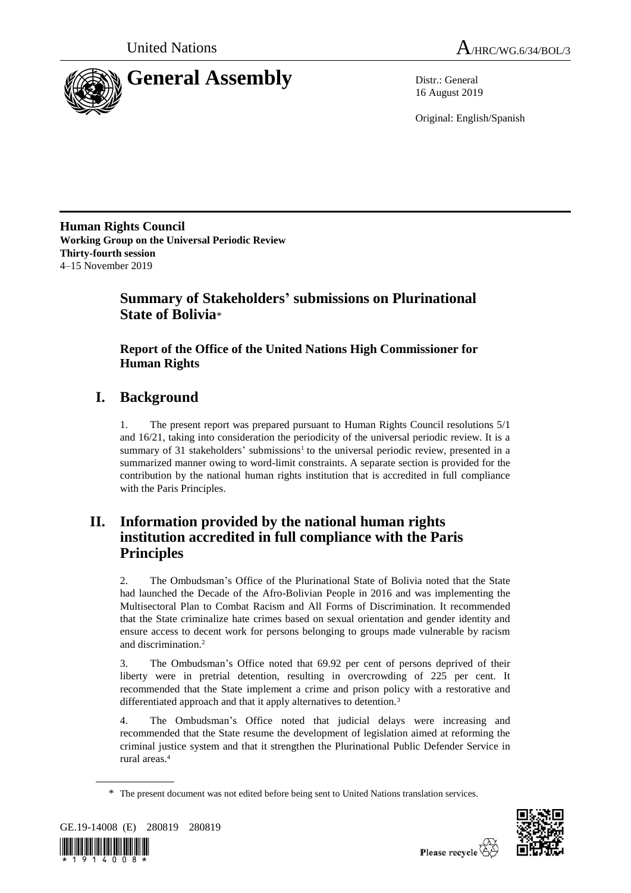

16 August 2019

Original: English/Spanish

**Human Rights Council Working Group on the Universal Periodic Review Thirty-fourth session** 4–15 November 2019

# **Summary of Stakeholders' submissions on Plurinational State of Bolivia**\*

# **Report of the Office of the United Nations High Commissioner for Human Rights**

# **I. Background**

1. The present report was prepared pursuant to Human Rights Council resolutions 5/1 and 16/21, taking into consideration the periodicity of the universal periodic review. It is a summary of 31 stakeholders' submissions<sup>1</sup> to the universal periodic review, presented in a summarized manner owing to word-limit constraints. A separate section is provided for the contribution by the national human rights institution that is accredited in full compliance with the Paris Principles.

# **II. Information provided by the national human rights institution accredited in full compliance with the Paris Principles**

2. The Ombudsman's Office of the Plurinational State of Bolivia noted that the State had launched the Decade of the Afro-Bolivian People in 2016 and was implementing the Multisectoral Plan to Combat Racism and All Forms of Discrimination. It recommended that the State criminalize hate crimes based on sexual orientation and gender identity and ensure access to decent work for persons belonging to groups made vulnerable by racism and discrimination.<sup>2</sup>

3. The Ombudsman's Office noted that 69.92 per cent of persons deprived of their liberty were in pretrial detention, resulting in overcrowding of 225 per cent. It recommended that the State implement a crime and prison policy with a restorative and differentiated approach and that it apply alternatives to detention.<sup>3</sup>

4. The Ombudsman's Office noted that judicial delays were increasing and recommended that the State resume the development of legislation aimed at reforming the criminal justice system and that it strengthen the Plurinational Public Defender Service in rural areas.<sup>4</sup>

<sup>\*</sup> The present document was not edited before being sent to United Nations translation services.



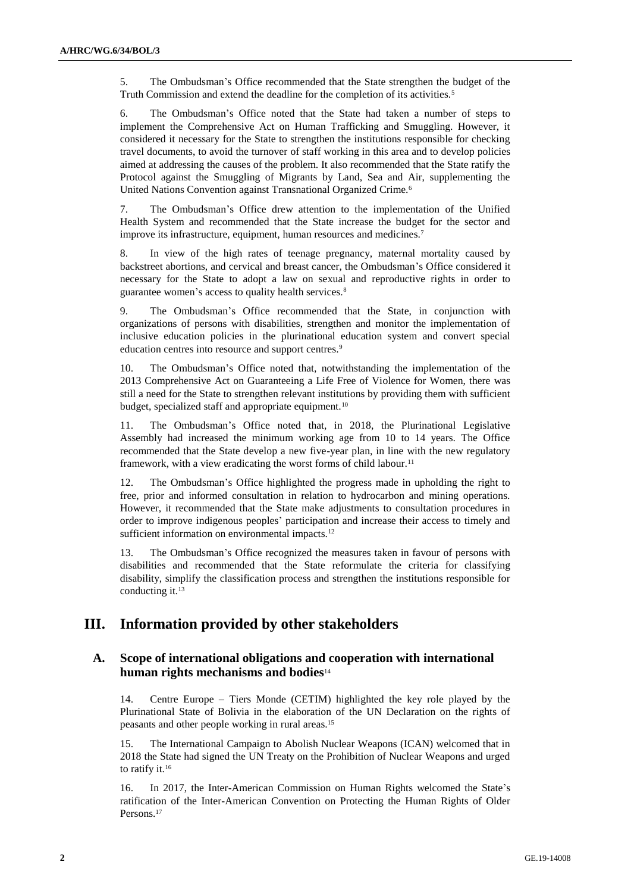5. The Ombudsman's Office recommended that the State strengthen the budget of the Truth Commission and extend the deadline for the completion of its activities.<sup>5</sup>

6. The Ombudsman's Office noted that the State had taken a number of steps to implement the Comprehensive Act on Human Trafficking and Smuggling. However, it considered it necessary for the State to strengthen the institutions responsible for checking travel documents, to avoid the turnover of staff working in this area and to develop policies aimed at addressing the causes of the problem. It also recommended that the State ratify the Protocol against the Smuggling of Migrants by Land, Sea and Air, supplementing the United Nations Convention against Transnational Organized Crime.<sup>6</sup>

7. The Ombudsman's Office drew attention to the implementation of the Unified Health System and recommended that the State increase the budget for the sector and improve its infrastructure, equipment, human resources and medicines.<sup>7</sup>

8. In view of the high rates of teenage pregnancy, maternal mortality caused by backstreet abortions, and cervical and breast cancer, the Ombudsman's Office considered it necessary for the State to adopt a law on sexual and reproductive rights in order to guarantee women's access to quality health services.<sup>8</sup>

9. The Ombudsman's Office recommended that the State, in conjunction with organizations of persons with disabilities, strengthen and monitor the implementation of inclusive education policies in the plurinational education system and convert special education centres into resource and support centres.<sup>9</sup>

10. The Ombudsman's Office noted that, notwithstanding the implementation of the 2013 Comprehensive Act on Guaranteeing a Life Free of Violence for Women, there was still a need for the State to strengthen relevant institutions by providing them with sufficient budget, specialized staff and appropriate equipment.<sup>10</sup>

11. The Ombudsman's Office noted that, in 2018, the Plurinational Legislative Assembly had increased the minimum working age from 10 to 14 years. The Office recommended that the State develop a new five-year plan, in line with the new regulatory framework, with a view eradicating the worst forms of child labour.<sup>11</sup>

12. The Ombudsman's Office highlighted the progress made in upholding the right to free, prior and informed consultation in relation to hydrocarbon and mining operations. However, it recommended that the State make adjustments to consultation procedures in order to improve indigenous peoples' participation and increase their access to timely and sufficient information on environmental impacts.<sup>12</sup>

13. The Ombudsman's Office recognized the measures taken in favour of persons with disabilities and recommended that the State reformulate the criteria for classifying disability, simplify the classification process and strengthen the institutions responsible for conducting it.<sup>13</sup>

# **III. Information provided by other stakeholders**

# **A. Scope of international obligations and cooperation with international human rights mechanisms and bodies**<sup>14</sup>

14. Centre Europe – Tiers Monde (CETIM) highlighted the key role played by the Plurinational State of Bolivia in the elaboration of the UN Declaration on the rights of peasants and other people working in rural areas.<sup>15</sup>

15. The International Campaign to Abolish Nuclear Weapons (ICAN) welcomed that in 2018 the State had signed the UN Treaty on the Prohibition of Nuclear Weapons and urged to ratify it.<sup>16</sup>

16. In 2017, the Inter-American Commission on Human Rights welcomed the State's ratification of the Inter-American Convention on Protecting the Human Rights of Older Persons.<sup>17</sup>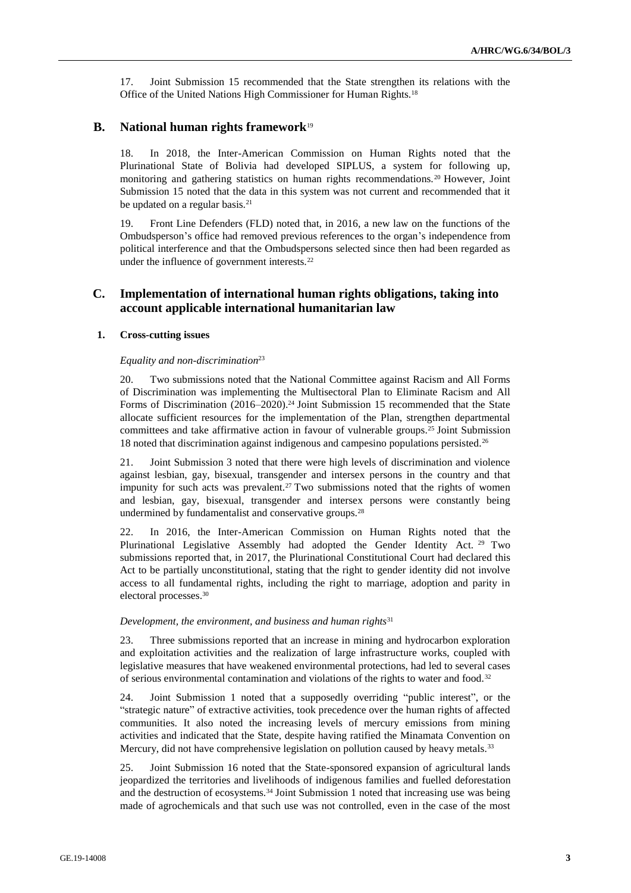17. Joint Submission 15 recommended that the State strengthen its relations with the Office of the United Nations High Commissioner for Human Rights.<sup>18</sup>

# **B. National human rights framework**<sup>19</sup>

18. In 2018, the Inter-American Commission on Human Rights noted that the Plurinational State of Bolivia had developed SIPLUS, a system for following up, monitoring and gathering statistics on human rights recommendations.<sup>20</sup> However, Joint Submission 15 noted that the data in this system was not current and recommended that it be updated on a regular basis.<sup>21</sup>

19. Front Line Defenders (FLD) noted that, in 2016, a new law on the functions of the Ombudsperson's office had removed previous references to the organ's independence from political interference and that the Ombudspersons selected since then had been regarded as under the influence of government interests.<sup>22</sup>

# **C. Implementation of international human rights obligations, taking into account applicable international humanitarian law**

# **1. Cross-cutting issues**

### *Equality and non-discrimination*<sup>23</sup>

20. Two submissions noted that the National Committee against Racism and All Forms of Discrimination was implementing the Multisectoral Plan to Eliminate Racism and All Forms of Discrimination (2016–2020).<sup>24</sup> Joint Submission 15 recommended that the State allocate sufficient resources for the implementation of the Plan, strengthen departmental committees and take affirmative action in favour of vulnerable groups.<sup>25</sup> Joint Submission 18 noted that discrimination against indigenous and campesino populations persisted.<sup>26</sup>

21. Joint Submission 3 noted that there were high levels of discrimination and violence against lesbian, gay, bisexual, transgender and intersex persons in the country and that impunity for such acts was prevalent.<sup>27</sup> Two submissions noted that the rights of women and lesbian, gay, bisexual, transgender and intersex persons were constantly being undermined by fundamentalist and conservative groups.<sup>28</sup>

22. In 2016, the Inter-American Commission on Human Rights noted that the Plurinational Legislative Assembly had adopted the Gender Identity Act. <sup>29</sup> Two submissions reported that, in 2017, the Plurinational Constitutional Court had declared this Act to be partially unconstitutional, stating that the right to gender identity did not involve access to all fundamental rights, including the right to marriage, adoption and parity in electoral processes.<sup>30</sup>

#### *Development, the environment, and business and human rights*<sup>31</sup>

23. Three submissions reported that an increase in mining and hydrocarbon exploration and exploitation activities and the realization of large infrastructure works, coupled with legislative measures that have weakened environmental protections, had led to several cases of serious environmental contamination and violations of the rights to water and food.<sup>32</sup>

24. Joint Submission 1 noted that a supposedly overriding "public interest", or the "strategic nature" of extractive activities, took precedence over the human rights of affected communities. It also noted the increasing levels of mercury emissions from mining activities and indicated that the State, despite having ratified the Minamata Convention on Mercury, did not have comprehensive legislation on pollution caused by heavy metals.<sup>33</sup>

25. Joint Submission 16 noted that the State-sponsored expansion of agricultural lands jeopardized the territories and livelihoods of indigenous families and fuelled deforestation and the destruction of ecosystems.<sup>34</sup> Joint Submission 1 noted that increasing use was being made of agrochemicals and that such use was not controlled, even in the case of the most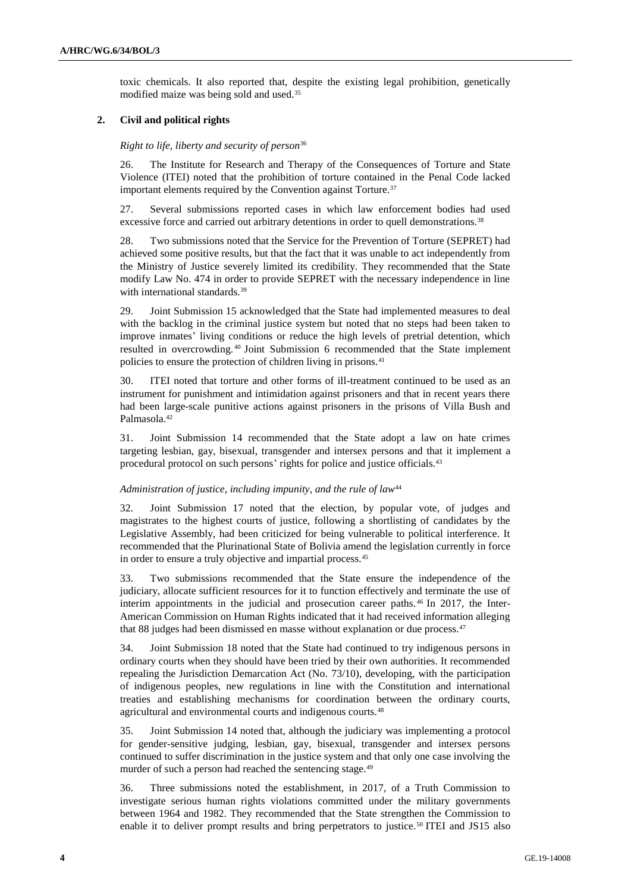toxic chemicals. It also reported that, despite the existing legal prohibition, genetically modified maize was being sold and used.<sup>35</sup>

## **2. Civil and political rights**

#### *Right to life, liberty and security of person*<sup>36</sup>

26. The Institute for Research and Therapy of the Consequences of Torture and State Violence (ITEI) noted that the prohibition of torture contained in the Penal Code lacked important elements required by the Convention against Torture.<sup>37</sup>

27. Several submissions reported cases in which law enforcement bodies had used excessive force and carried out arbitrary detentions in order to quell demonstrations.<sup>38</sup>

28. Two submissions noted that the Service for the Prevention of Torture (SEPRET) had achieved some positive results, but that the fact that it was unable to act independently from the Ministry of Justice severely limited its credibility. They recommended that the State modify Law No. 474 in order to provide SEPRET with the necessary independence in line with international standards.<sup>39</sup>

29. Joint Submission 15 acknowledged that the State had implemented measures to deal with the backlog in the criminal justice system but noted that no steps had been taken to improve inmates' living conditions or reduce the high levels of pretrial detention, which resulted in overcrowding. <sup>40</sup> Joint Submission 6 recommended that the State implement policies to ensure the protection of children living in prisons.<sup>41</sup>

30. ITEI noted that torture and other forms of ill-treatment continued to be used as an instrument for punishment and intimidation against prisoners and that in recent years there had been large-scale punitive actions against prisoners in the prisons of Villa Bush and Palmasola.<sup>42</sup>

31. Joint Submission 14 recommended that the State adopt a law on hate crimes targeting lesbian, gay, bisexual, transgender and intersex persons and that it implement a procedural protocol on such persons' rights for police and justice officials.<sup>43</sup>

#### *Administration of justice, including impunity, and the rule of law*<sup>44</sup>

32. Joint Submission 17 noted that the election, by popular vote, of judges and magistrates to the highest courts of justice, following a shortlisting of candidates by the Legislative Assembly, had been criticized for being vulnerable to political interference. It recommended that the Plurinational State of Bolivia amend the legislation currently in force in order to ensure a truly objective and impartial process.<sup>45</sup>

33. Two submissions recommended that the State ensure the independence of the judiciary, allocate sufficient resources for it to function effectively and terminate the use of interim appointments in the judicial and prosecution career paths. <sup>46</sup> In 2017, the Inter-American Commission on Human Rights indicated that it had received information alleging that 88 judges had been dismissed en masse without explanation or due process.<sup>47</sup>

34. Joint Submission 18 noted that the State had continued to try indigenous persons in ordinary courts when they should have been tried by their own authorities. It recommended repealing the Jurisdiction Demarcation Act (No. 73/10), developing, with the participation of indigenous peoples, new regulations in line with the Constitution and international treaties and establishing mechanisms for coordination between the ordinary courts, agricultural and environmental courts and indigenous courts.<sup>48</sup>

35. Joint Submission 14 noted that, although the judiciary was implementing a protocol for gender-sensitive judging, lesbian, gay, bisexual, transgender and intersex persons continued to suffer discrimination in the justice system and that only one case involving the murder of such a person had reached the sentencing stage.<sup>49</sup>

36. Three submissions noted the establishment, in 2017, of a Truth Commission to investigate serious human rights violations committed under the military governments between 1964 and 1982. They recommended that the State strengthen the Commission to enable it to deliver prompt results and bring perpetrators to justice.<sup>50</sup> ITEI and JS15 also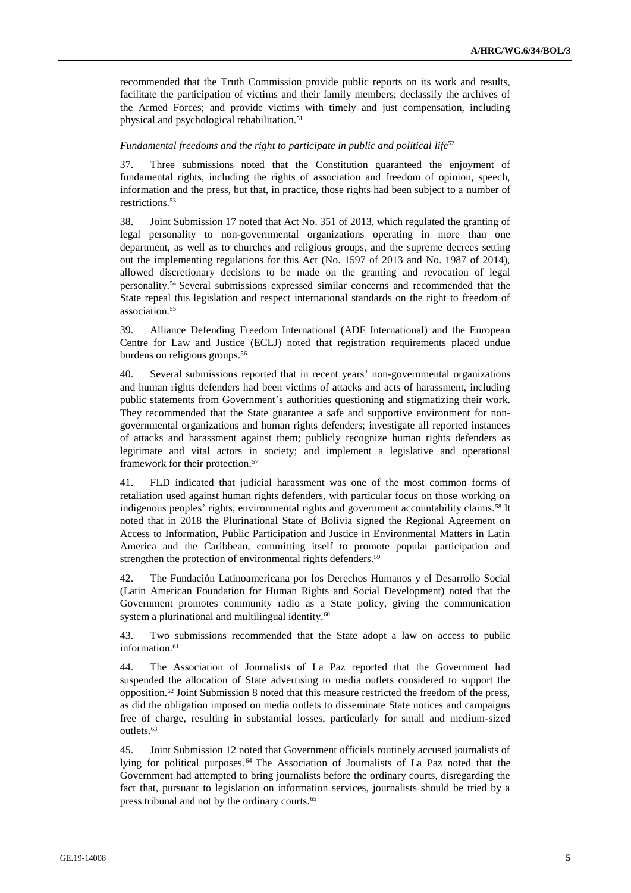recommended that the Truth Commission provide public reports on its work and results, facilitate the participation of victims and their family members; declassify the archives of the Armed Forces; and provide victims with timely and just compensation, including physical and psychological rehabilitation.<sup>51</sup>

## Fundamental freedoms and the right to participate in public and political life<sup>52</sup>

37. Three submissions noted that the Constitution guaranteed the enjoyment of fundamental rights, including the rights of association and freedom of opinion, speech, information and the press, but that, in practice, those rights had been subject to a number of restrictions.<sup>53</sup>

38. Joint Submission 17 noted that Act No. 351 of 2013, which regulated the granting of legal personality to non-governmental organizations operating in more than one department, as well as to churches and religious groups, and the supreme decrees setting out the implementing regulations for this Act (No. 1597 of 2013 and No. 1987 of 2014), allowed discretionary decisions to be made on the granting and revocation of legal personality.<sup>54</sup> Several submissions expressed similar concerns and recommended that the State repeal this legislation and respect international standards on the right to freedom of association.<sup>55</sup>

39. Alliance Defending Freedom International (ADF International) and the European Centre for Law and Justice (ECLJ) noted that registration requirements placed undue burdens on religious groups.<sup>56</sup>

40. Several submissions reported that in recent years' non-governmental organizations and human rights defenders had been victims of attacks and acts of harassment, including public statements from Government's authorities questioning and stigmatizing their work. They recommended that the State guarantee a safe and supportive environment for nongovernmental organizations and human rights defenders; investigate all reported instances of attacks and harassment against them; publicly recognize human rights defenders as legitimate and vital actors in society; and implement a legislative and operational framework for their protection.<sup>57</sup>

41. FLD indicated that judicial harassment was one of the most common forms of retaliation used against human rights defenders, with particular focus on those working on indigenous peoples' rights, environmental rights and government accountability claims.<sup>58</sup> It noted that in 2018 the Plurinational State of Bolivia signed the Regional Agreement on Access to Information, Public Participation and Justice in Environmental Matters in Latin America and the Caribbean, committing itself to promote popular participation and strengthen the protection of environmental rights defenders.<sup>59</sup>

42. The Fundación Latinoamericana por los Derechos Humanos y el Desarrollo Social (Latin American Foundation for Human Rights and Social Development) noted that the Government promotes community radio as a State policy, giving the communication system a plurinational and multilingual identity.<sup>60</sup>

43. Two submissions recommended that the State adopt a law on access to public information.<sup>61</sup>

44. The Association of Journalists of La Paz reported that the Government had suspended the allocation of State advertising to media outlets considered to support the opposition.<sup>62</sup> Joint Submission 8 noted that this measure restricted the freedom of the press, as did the obligation imposed on media outlets to disseminate State notices and campaigns free of charge, resulting in substantial losses, particularly for small and medium-sized outlets.<sup>63</sup>

45. Joint Submission 12 noted that Government officials routinely accused journalists of lying for political purposes. <sup>64</sup> The Association of Journalists of La Paz noted that the Government had attempted to bring journalists before the ordinary courts, disregarding the fact that, pursuant to legislation on information services, journalists should be tried by a press tribunal and not by the ordinary courts.<sup>65</sup>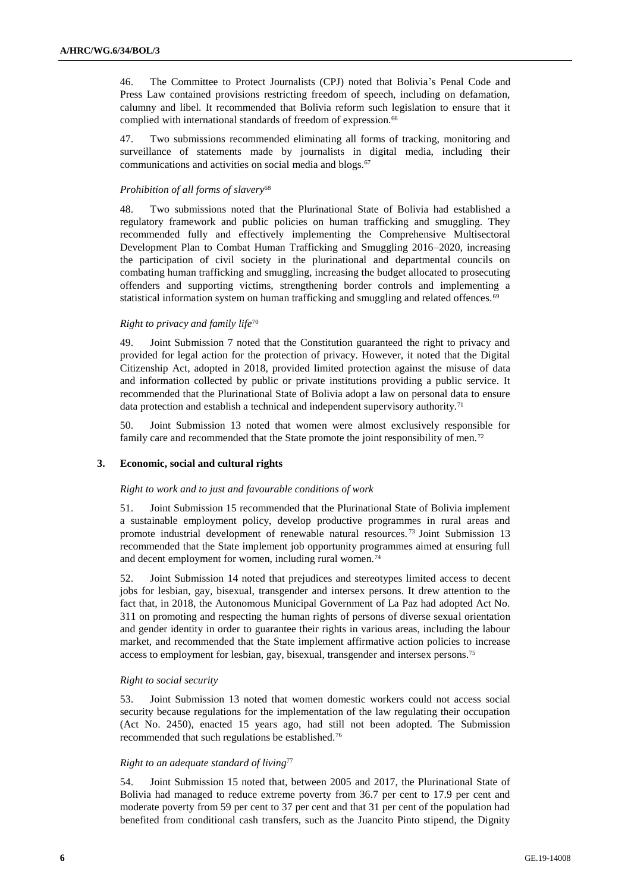46. The Committee to Protect Journalists (CPJ) noted that Bolivia's Penal Code and Press Law contained provisions restricting freedom of speech, including on defamation, calumny and libel. It recommended that Bolivia reform such legislation to ensure that it complied with international standards of freedom of expression.<sup>66</sup>

47. Two submissions recommended eliminating all forms of tracking, monitoring and surveillance of statements made by journalists in digital media, including their communications and activities on social media and blogs.<sup>67</sup>

# *Prohibition of all forms of slavery*<sup>68</sup>

48. Two submissions noted that the Plurinational State of Bolivia had established a regulatory framework and public policies on human trafficking and smuggling. They recommended fully and effectively implementing the Comprehensive Multisectoral Development Plan to Combat Human Trafficking and Smuggling 2016–2020, increasing the participation of civil society in the plurinational and departmental councils on combating human trafficking and smuggling, increasing the budget allocated to prosecuting offenders and supporting victims, strengthening border controls and implementing a statistical information system on human trafficking and smuggling and related offences.<sup>69</sup>

# *Right to privacy and family life*<sup>70</sup>

49. Joint Submission 7 noted that the Constitution guaranteed the right to privacy and provided for legal action for the protection of privacy. However, it noted that the Digital Citizenship Act, adopted in 2018, provided limited protection against the misuse of data and information collected by public or private institutions providing a public service. It recommended that the Plurinational State of Bolivia adopt a law on personal data to ensure data protection and establish a technical and independent supervisory authority.<sup>71</sup>

50. Joint Submission 13 noted that women were almost exclusively responsible for family care and recommended that the State promote the joint responsibility of men.<sup>72</sup>

# **3. Economic, social and cultural rights**

### *Right to work and to just and favourable conditions of work*

51. Joint Submission 15 recommended that the Plurinational State of Bolivia implement a sustainable employment policy, develop productive programmes in rural areas and promote industrial development of renewable natural resources. <sup>73</sup> Joint Submission 13 recommended that the State implement job opportunity programmes aimed at ensuring full and decent employment for women, including rural women.<sup>74</sup>

52. Joint Submission 14 noted that prejudices and stereotypes limited access to decent jobs for lesbian, gay, bisexual, transgender and intersex persons. It drew attention to the fact that, in 2018, the Autonomous Municipal Government of La Paz had adopted Act No. 311 on promoting and respecting the human rights of persons of diverse sexual orientation and gender identity in order to guarantee their rights in various areas, including the labour market, and recommended that the State implement affirmative action policies to increase access to employment for lesbian, gay, bisexual, transgender and intersex persons.<sup>75</sup>

### *Right to social security*

53. Joint Submission 13 noted that women domestic workers could not access social security because regulations for the implementation of the law regulating their occupation (Act No. 2450), enacted 15 years ago, had still not been adopted. The Submission recommended that such regulations be established.<sup>76</sup>

# *Right to an adequate standard of living*<sup>77</sup>

54. Joint Submission 15 noted that, between 2005 and 2017, the Plurinational State of Bolivia had managed to reduce extreme poverty from 36.7 per cent to 17.9 per cent and moderate poverty from 59 per cent to 37 per cent and that 31 per cent of the population had benefited from conditional cash transfers, such as the Juancito Pinto stipend, the Dignity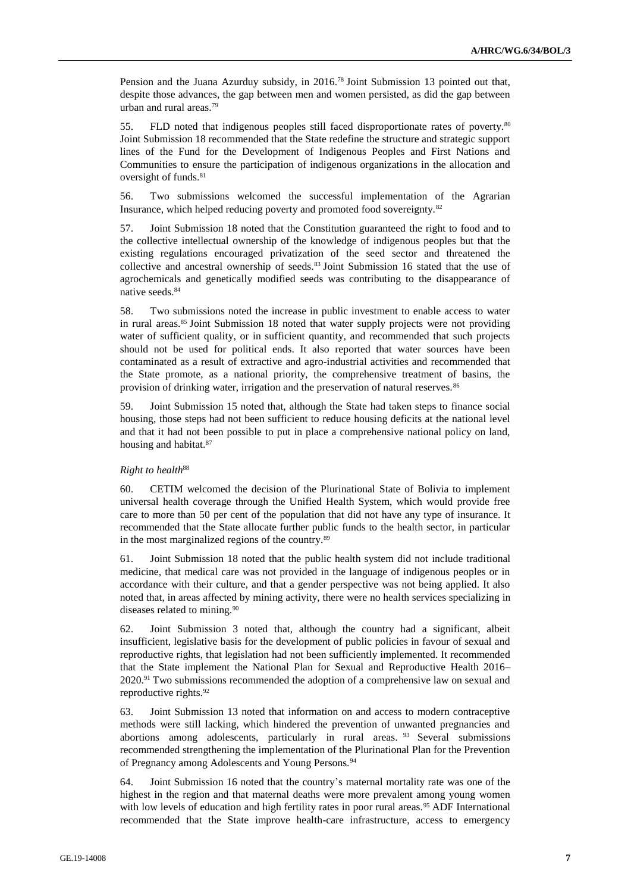Pension and the Juana Azurduy subsidy, in 2016.<sup>78</sup> Joint Submission 13 pointed out that, despite those advances, the gap between men and women persisted, as did the gap between urban and rural areas.<sup>79</sup>

55. FLD noted that indigenous peoples still faced disproportionate rates of poverty.<sup>80</sup> Joint Submission 18 recommended that the State redefine the structure and strategic support lines of the Fund for the Development of Indigenous Peoples and First Nations and Communities to ensure the participation of indigenous organizations in the allocation and oversight of funds.<sup>81</sup>

56. Two submissions welcomed the successful implementation of the Agrarian Insurance, which helped reducing poverty and promoted food sovereignty.<sup>82</sup>

57. Joint Submission 18 noted that the Constitution guaranteed the right to food and to the collective intellectual ownership of the knowledge of indigenous peoples but that the existing regulations encouraged privatization of the seed sector and threatened the collective and ancestral ownership of seeds.<sup>83</sup> Joint Submission 16 stated that the use of agrochemicals and genetically modified seeds was contributing to the disappearance of native seeds.<sup>84</sup>

58. Two submissions noted the increase in public investment to enable access to water in rural areas.<sup>85</sup> Joint Submission 18 noted that water supply projects were not providing water of sufficient quality, or in sufficient quantity, and recommended that such projects should not be used for political ends. It also reported that water sources have been contaminated as a result of extractive and agro-industrial activities and recommended that the State promote, as a national priority, the comprehensive treatment of basins, the provision of drinking water, irrigation and the preservation of natural reserves.<sup>86</sup>

59. Joint Submission 15 noted that, although the State had taken steps to finance social housing, those steps had not been sufficient to reduce housing deficits at the national level and that it had not been possible to put in place a comprehensive national policy on land, housing and habitat.<sup>87</sup>

# *Right to health*<sup>88</sup>

60. CETIM welcomed the decision of the Plurinational State of Bolivia to implement universal health coverage through the Unified Health System, which would provide free care to more than 50 per cent of the population that did not have any type of insurance. It recommended that the State allocate further public funds to the health sector, in particular in the most marginalized regions of the country.<sup>89</sup>

61. Joint Submission 18 noted that the public health system did not include traditional medicine, that medical care was not provided in the language of indigenous peoples or in accordance with their culture, and that a gender perspective was not being applied. It also noted that, in areas affected by mining activity, there were no health services specializing in diseases related to mining.<sup>90</sup>

62. Joint Submission 3 noted that, although the country had a significant, albeit insufficient, legislative basis for the development of public policies in favour of sexual and reproductive rights, that legislation had not been sufficiently implemented. It recommended that the State implement the National Plan for Sexual and Reproductive Health 2016– 2020.<sup>91</sup> Two submissions recommended the adoption of a comprehensive law on sexual and reproductive rights.<sup>92</sup>

63. Joint Submission 13 noted that information on and access to modern contraceptive methods were still lacking, which hindered the prevention of unwanted pregnancies and abortions among adolescents, particularly in rural areas. <sup>93</sup> Several submissions recommended strengthening the implementation of the Plurinational Plan for the Prevention of Pregnancy among Adolescents and Young Persons.<sup>94</sup>

64. Joint Submission 16 noted that the country's maternal mortality rate was one of the highest in the region and that maternal deaths were more prevalent among young women with low levels of education and high fertility rates in poor rural areas.<sup>95</sup> ADF International recommended that the State improve health-care infrastructure, access to emergency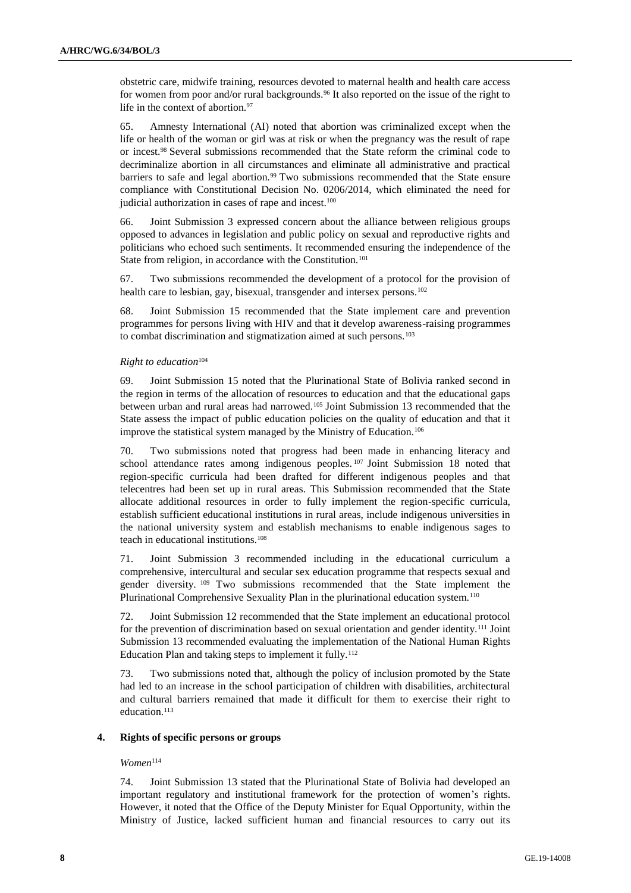obstetric care, midwife training, resources devoted to maternal health and health care access for women from poor and/or rural backgrounds.<sup>96</sup> It also reported on the issue of the right to life in the context of abortion.<sup>97</sup>

65. Amnesty International (AI) noted that abortion was criminalized except when the life or health of the woman or girl was at risk or when the pregnancy was the result of rape or incest.<sup>98</sup> Several submissions recommended that the State reform the criminal code to decriminalize abortion in all circumstances and eliminate all administrative and practical barriers to safe and legal abortion.<sup>99</sup> Two submissions recommended that the State ensure compliance with Constitutional Decision No. 0206/2014, which eliminated the need for judicial authorization in cases of rape and incest.<sup>100</sup>

66. Joint Submission 3 expressed concern about the alliance between religious groups opposed to advances in legislation and public policy on sexual and reproductive rights and politicians who echoed such sentiments. It recommended ensuring the independence of the State from religion, in accordance with the Constitution.<sup>101</sup>

67. Two submissions recommended the development of a protocol for the provision of health care to lesbian, gay, bisexual, transgender and intersex persons.<sup>102</sup>

68. Joint Submission 15 recommended that the State implement care and prevention programmes for persons living with HIV and that it develop awareness-raising programmes to combat discrimination and stigmatization aimed at such persons.<sup>103</sup>

# *Right to education*<sup>104</sup>

69. Joint Submission 15 noted that the Plurinational State of Bolivia ranked second in the region in terms of the allocation of resources to education and that the educational gaps between urban and rural areas had narrowed.<sup>105</sup> Joint Submission 13 recommended that the State assess the impact of public education policies on the quality of education and that it improve the statistical system managed by the Ministry of Education.<sup>106</sup>

70. Two submissions noted that progress had been made in enhancing literacy and school attendance rates among indigenous peoples. <sup>107</sup> Joint Submission 18 noted that region-specific curricula had been drafted for different indigenous peoples and that telecentres had been set up in rural areas. This Submission recommended that the State allocate additional resources in order to fully implement the region-specific curricula, establish sufficient educational institutions in rural areas, include indigenous universities in the national university system and establish mechanisms to enable indigenous sages to teach in educational institutions.<sup>108</sup>

71. Joint Submission 3 recommended including in the educational curriculum a comprehensive, intercultural and secular sex education programme that respects sexual and gender diversity. <sup>109</sup> Two submissions recommended that the State implement the Plurinational Comprehensive Sexuality Plan in the plurinational education system.<sup>110</sup>

72. Joint Submission 12 recommended that the State implement an educational protocol for the prevention of discrimination based on sexual orientation and gender identity.<sup>111</sup> Joint Submission 13 recommended evaluating the implementation of the National Human Rights Education Plan and taking steps to implement it fully.<sup>112</sup>

73. Two submissions noted that, although the policy of inclusion promoted by the State had led to an increase in the school participation of children with disabilities, architectural and cultural barriers remained that made it difficult for them to exercise their right to education.<sup>113</sup>

### **4. Rights of specific persons or groups**

## *Women*<sup>114</sup>

74. Joint Submission 13 stated that the Plurinational State of Bolivia had developed an important regulatory and institutional framework for the protection of women's rights. However, it noted that the Office of the Deputy Minister for Equal Opportunity, within the Ministry of Justice, lacked sufficient human and financial resources to carry out its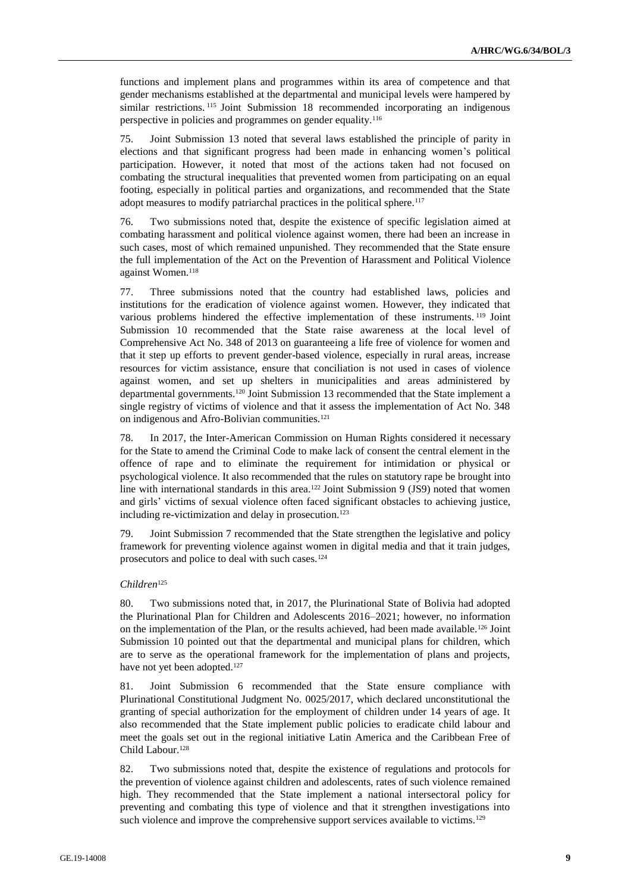functions and implement plans and programmes within its area of competence and that gender mechanisms established at the departmental and municipal levels were hampered by similar restrictions. <sup>115</sup> Joint Submission 18 recommended incorporating an indigenous perspective in policies and programmes on gender equality.<sup>116</sup>

75. Joint Submission 13 noted that several laws established the principle of parity in elections and that significant progress had been made in enhancing women's political participation. However, it noted that most of the actions taken had not focused on combating the structural inequalities that prevented women from participating on an equal footing, especially in political parties and organizations, and recommended that the State adopt measures to modify patriarchal practices in the political sphere.<sup>117</sup>

76. Two submissions noted that, despite the existence of specific legislation aimed at combating harassment and political violence against women, there had been an increase in such cases, most of which remained unpunished. They recommended that the State ensure the full implementation of the Act on the Prevention of Harassment and Political Violence against Women.<sup>118</sup>

77. Three submissions noted that the country had established laws, policies and institutions for the eradication of violence against women. However, they indicated that various problems hindered the effective implementation of these instruments. <sup>119</sup> Joint Submission 10 recommended that the State raise awareness at the local level of Comprehensive Act No. 348 of 2013 on guaranteeing a life free of violence for women and that it step up efforts to prevent gender-based violence, especially in rural areas, increase resources for victim assistance, ensure that conciliation is not used in cases of violence against women, and set up shelters in municipalities and areas administered by departmental governments.<sup>120</sup> Joint Submission 13 recommended that the State implement a single registry of victims of violence and that it assess the implementation of Act No. 348 on indigenous and Afro-Bolivian communities.<sup>121</sup>

78. In 2017, the Inter-American Commission on Human Rights considered it necessary for the State to amend the Criminal Code to make lack of consent the central element in the offence of rape and to eliminate the requirement for intimidation or physical or psychological violence. It also recommended that the rules on statutory rape be brought into line with international standards in this area.<sup>122</sup> Joint Submission 9 (JS9) noted that women and girls' victims of sexual violence often faced significant obstacles to achieving justice, including re-victimization and delay in prosecution.<sup>123</sup>

79. Joint Submission 7 recommended that the State strengthen the legislative and policy framework for preventing violence against women in digital media and that it train judges, prosecutors and police to deal with such cases.<sup>124</sup>

### *Children*<sup>125</sup>

80. Two submissions noted that, in 2017, the Plurinational State of Bolivia had adopted the Plurinational Plan for Children and Adolescents 2016–2021; however, no information on the implementation of the Plan, or the results achieved, had been made available.<sup>126</sup> Joint Submission 10 pointed out that the departmental and municipal plans for children, which are to serve as the operational framework for the implementation of plans and projects, have not yet been adopted.<sup>127</sup>

81. Joint Submission 6 recommended that the State ensure compliance with Plurinational Constitutional Judgment No. 0025/2017, which declared unconstitutional the granting of special authorization for the employment of children under 14 years of age. It also recommended that the State implement public policies to eradicate child labour and meet the goals set out in the regional initiative Latin America and the Caribbean Free of Child Labour.<sup>128</sup>

82. Two submissions noted that, despite the existence of regulations and protocols for the prevention of violence against children and adolescents, rates of such violence remained high. They recommended that the State implement a national intersectoral policy for preventing and combating this type of violence and that it strengthen investigations into such violence and improve the comprehensive support services available to victims.<sup>129</sup>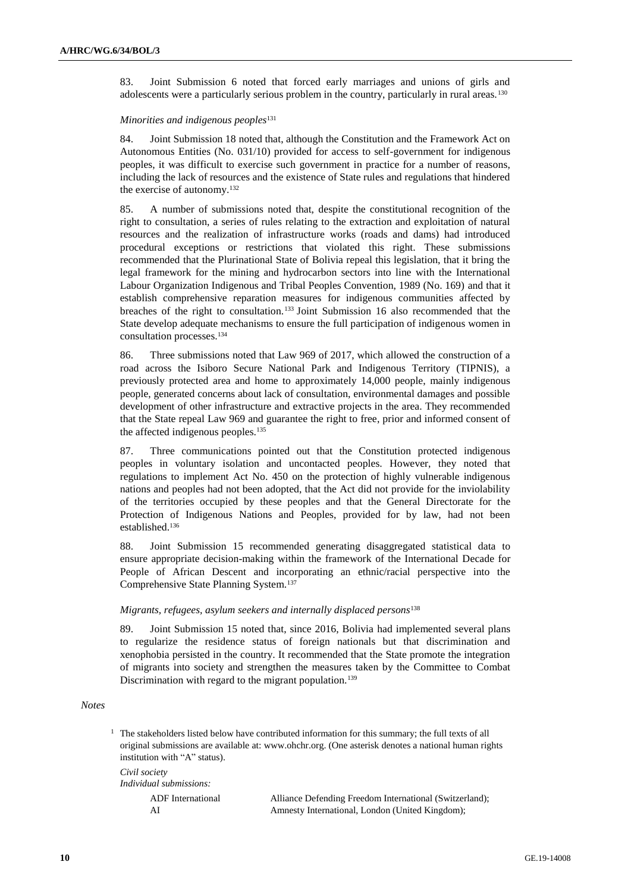83. Joint Submission 6 noted that forced early marriages and unions of girls and adolescents were a particularly serious problem in the country, particularly in rural areas.<sup>130</sup>

#### *Minorities and indigenous peoples*<sup>131</sup>

84. Joint Submission 18 noted that, although the Constitution and the Framework Act on Autonomous Entities (No. 031/10) provided for access to self-government for indigenous peoples, it was difficult to exercise such government in practice for a number of reasons, including the lack of resources and the existence of State rules and regulations that hindered the exercise of autonomy.<sup>132</sup>

85. A number of submissions noted that, despite the constitutional recognition of the right to consultation, a series of rules relating to the extraction and exploitation of natural resources and the realization of infrastructure works (roads and dams) had introduced procedural exceptions or restrictions that violated this right. These submissions recommended that the Plurinational State of Bolivia repeal this legislation, that it bring the legal framework for the mining and hydrocarbon sectors into line with the International Labour Organization Indigenous and Tribal Peoples Convention, 1989 (No. 169) and that it establish comprehensive reparation measures for indigenous communities affected by breaches of the right to consultation.<sup>133</sup> Joint Submission 16 also recommended that the State develop adequate mechanisms to ensure the full participation of indigenous women in consultation processes.<sup>134</sup>

86. Three submissions noted that Law 969 of 2017, which allowed the construction of a road across the Isiboro Secure National Park and Indigenous Territory (TIPNIS), a previously protected area and home to approximately 14,000 people, mainly indigenous people, generated concerns about lack of consultation, environmental damages and possible development of other infrastructure and extractive projects in the area. They recommended that the State repeal Law 969 and guarantee the right to free, prior and informed consent of the affected indigenous peoples.<sup>135</sup>

87. Three communications pointed out that the Constitution protected indigenous peoples in voluntary isolation and uncontacted peoples. However, they noted that regulations to implement Act No. 450 on the protection of highly vulnerable indigenous nations and peoples had not been adopted, that the Act did not provide for the inviolability of the territories occupied by these peoples and that the General Directorate for the Protection of Indigenous Nations and Peoples, provided for by law, had not been established.<sup>136</sup>

88. Joint Submission 15 recommended generating disaggregated statistical data to ensure appropriate decision-making within the framework of the International Decade for People of African Descent and incorporating an ethnic/racial perspective into the Comprehensive State Planning System.<sup>137</sup>

# *Migrants, refugees, asylum seekers and internally displaced persons*<sup>138</sup>

89. Joint Submission 15 noted that, since 2016, Bolivia had implemented several plans to regularize the residence status of foreign nationals but that discrimination and xenophobia persisted in the country. It recommended that the State promote the integration of migrants into society and strengthen the measures taken by the Committee to Combat Discrimination with regard to the migrant population.<sup>139</sup>

### *Notes*

<sup>1</sup> The stakeholders listed below have contributed information for this summary; the full texts of all original submissions are available at: [www.ohchr.org.](http://www.ohchr.org/) (One asterisk denotes a national human rights institution with "A" status). *Civil society*

| Civil society<br>Individual submissions: |                                                         |
|------------------------------------------|---------------------------------------------------------|
| ADF International                        | Alliance Defending Freedom International (Switzerland); |
| ΑI                                       | Amnesty International, London (United Kingdom);         |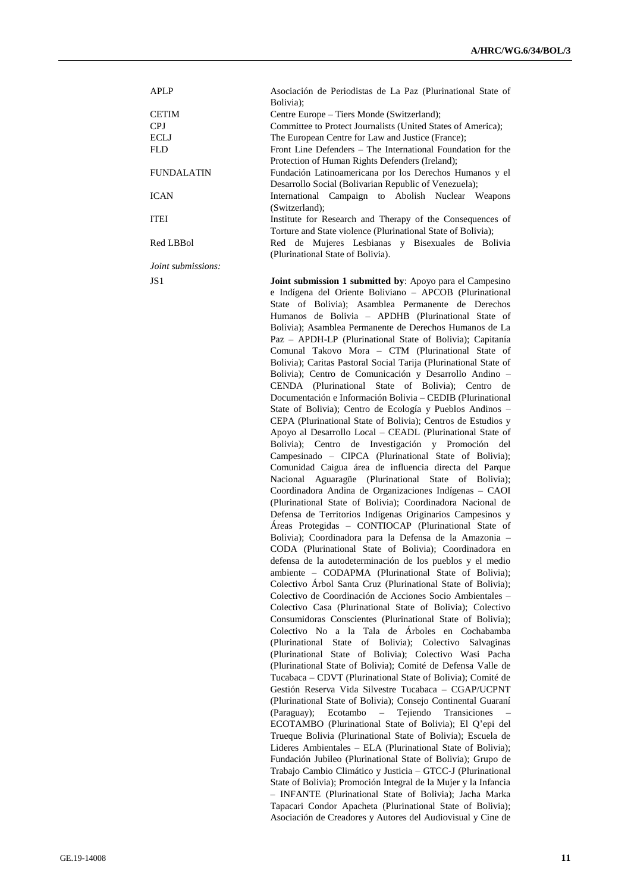| <b>APLP</b>               | Asociación de Periodistas de La Paz (Plurinational State of  |
|---------------------------|--------------------------------------------------------------|
|                           | Bolivia);                                                    |
| <b>CETIM</b>              | Centre Europe – Tiers Monde (Switzerland);                   |
| <b>CPJ</b>                | Committee to Protect Journalists (United States of America); |
| <b>ECLJ</b>               | The European Centre for Law and Justice (France);            |
| FLD.                      | Front Line Defenders – The International Foundation for the  |
|                           | Protection of Human Rights Defenders (Ireland);              |
| <b>FUNDALATIN</b>         | Fundación Latinoamericana por los Derechos Humanos y el      |
|                           | Desarrollo Social (Bolivarian Republic of Venezuela);        |
| <b>ICAN</b>               | International Campaign to Abolish Nuclear Weapons            |
|                           | (Switzerland);                                               |
| <b>ITEI</b>               | Institute for Research and Therapy of the Consequences of    |
|                           | Torture and State violence (Plurinational State of Bolivia); |
| Red LBBol                 | Red de Mujeres Lesbianas y Bisexuales de Bolivia             |
|                           | (Plurinational State of Bolivia).                            |
| <i>loint submissions:</i> |                                                              |

JS1 **Joint submission 1 submitted by**: Apoyo para el Campesino e Indígena del Oriente Boliviano – APCOB (Plurinational State of Bolivia); Asamblea Permanente de Derechos Humanos de Bolivia – APDHB (Plurinational State of Bolivia); Asamblea Permanente de Derechos Humanos de La Paz – APDH-LP (Plurinational State of Bolivia); Capitanía Comunal Takovo Mora – CTM (Plurinational State of Bolivia); Caritas Pastoral Social Tarija (Plurinational State of Bolivia); Centro de Comunicación y Desarrollo Andino – CENDA (Plurinational State of Bolivia); Centro de Documentación e Información Bolivia – CEDIB (Plurinational State of Bolivia); Centro de Ecología y Pueblos Andinos – CEPA (Plurinational State of Bolivia); Centros de Estudios y Apoyo al Desarrollo Local – CEADL (Plurinational State of Bolivia); Centro de Investigación y Promoción del Campesinado – CIPCA (Plurinational State of Bolivia); Comunidad Caigua área de influencia directa del Parque Nacional Aguaragüe (Plurinational State of Bolivia); Coordinadora Andina de Organizaciones Indígenas – CAOI (Plurinational State of Bolivia); Coordinadora Nacional de Defensa de Territorios Indígenas Originarios Campesinos y Áreas Protegidas – CONTIOCAP (Plurinational State of Bolivia); Coordinadora para la Defensa de la Amazonia – CODA (Plurinational State of Bolivia); Coordinadora en defensa de la autodeterminación de los pueblos y el medio ambiente – CODAPMA (Plurinational State of Bolivia); Colectivo Árbol Santa Cruz (Plurinational State of Bolivia); Colectivo de Coordinación de Acciones Socio Ambientales – Colectivo Casa (Plurinational State of Bolivia); Colectivo Consumidoras Conscientes (Plurinational State of Bolivia); Colectivo No a la Tala de Árboles en Cochabamba (Plurinational State of Bolivia); Colectivo Salvaginas (Plurinational State of Bolivia); Colectivo Wasi Pacha (Plurinational State of Bolivia); Comité de Defensa Valle de Tucabaca – CDVT (Plurinational State of Bolivia); Comité de Gestión Reserva Vida Silvestre Tucabaca – CGAP/UCPNT (Plurinational State of Bolivia); Consejo Continental Guaraní (Paraguay); Ecotambo – Tejiendo Transiciones – ECOTAMBO (Plurinational State of Bolivia); El Q'epi del Trueque Bolivia (Plurinational State of Bolivia); Escuela de Lideres Ambientales – ELA (Plurinational State of Bolivia); Fundación Jubileo (Plurinational State of Bolivia); Grupo de Trabajo Cambio Climático y Justicia – GTCC-J (Plurinational State of Bolivia); Promoción Integral de la Mujer y la Infancia – INFANTE (Plurinational State of Bolivia); Jacha Marka Tapacari Condor Apacheta (Plurinational State of Bolivia); Asociación de Creadores y Autores del Audiovisual y Cine de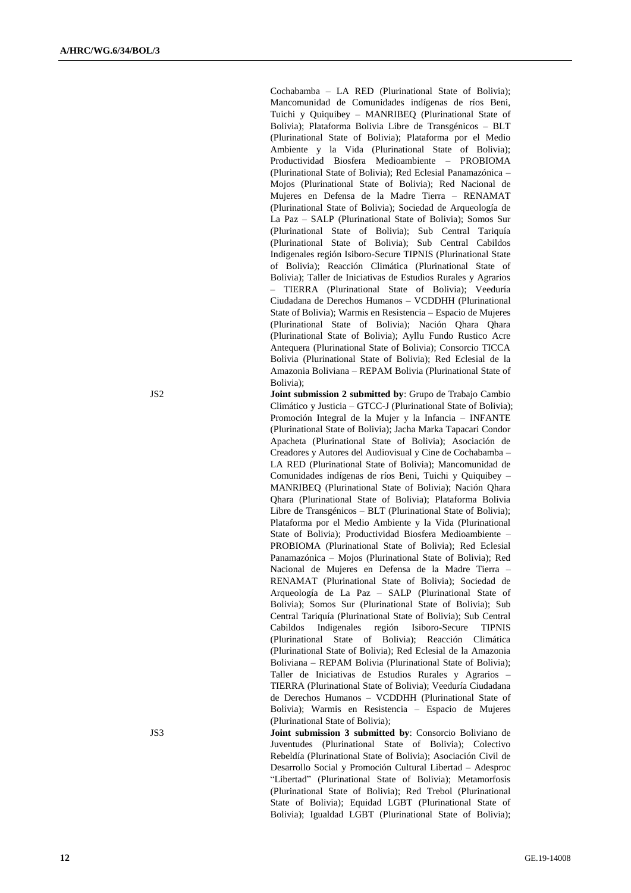Cochabamba – LA RED (Plurinational State of Bolivia); Mancomunidad de Comunidades indígenas de ríos Beni, Tuichi y Quiquibey – MANRIBEQ (Plurinational State of Bolivia); Plataforma Bolivia Libre de Transgénicos – BLT (Plurinational State of Bolivia); Plataforma por el Medio Ambiente y la Vida (Plurinational State of Bolivia); Productividad Biosfera Medioambiente – PROBIOMA (Plurinational State of Bolivia); Red Eclesial Panamazónica – Mojos (Plurinational State of Bolivia); Red Nacional de Mujeres en Defensa de la Madre Tierra – RENAMAT (Plurinational State of Bolivia); Sociedad de Arqueología de La Paz – SALP (Plurinational State of Bolivia); Somos Sur (Plurinational State of Bolivia); Sub Central Tariquía (Plurinational State of Bolivia); Sub Central Cabildos Indigenales región Isiboro-Secure TIPNIS (Plurinational State of Bolivia); Reacción Climática (Plurinational State of Bolivia); Taller de Iniciativas de Estudios Rurales y Agrarios – TIERRA (Plurinational State of Bolivia); Veeduría Ciudadana de Derechos Humanos – VCDDHH (Plurinational State of Bolivia); Warmis en Resistencia – Espacio de Mujeres (Plurinational State of Bolivia); Nación Qhara Qhara (Plurinational State of Bolivia); Ayllu Fundo Rustico Acre Antequera (Plurinational State of Bolivia); Consorcio TICCA Bolivia (Plurinational State of Bolivia); Red Eclesial de la Amazonia Boliviana – REPAM Bolivia (Plurinational State of Bolivia);

JS2 **Joint submission 2 submitted by**: Grupo de Trabajo Cambio Climático y Justicia – GTCC-J (Plurinational State of Bolivia); Promoción Integral de la Mujer y la Infancia – INFANTE (Plurinational State of Bolivia); Jacha Marka Tapacari Condor Apacheta (Plurinational State of Bolivia); Asociación de Creadores y Autores del Audiovisual y Cine de Cochabamba – LA RED (Plurinational State of Bolivia); Mancomunidad de Comunidades indígenas de ríos Beni, Tuichi y Quiquibey – MANRIBEQ (Plurinational State of Bolivia); Nación Qhara Qhara (Plurinational State of Bolivia); Plataforma Bolivia Libre de Transgénicos – BLT (Plurinational State of Bolivia); Plataforma por el Medio Ambiente y la Vida (Plurinational State of Bolivia); Productividad Biosfera Medioambiente – PROBIOMA (Plurinational State of Bolivia); Red Eclesial Panamazónica – Mojos (Plurinational State of Bolivia); Red Nacional de Mujeres en Defensa de la Madre Tierra – RENAMAT (Plurinational State of Bolivia); Sociedad de Arqueología de La Paz – SALP (Plurinational State of Bolivia); Somos Sur (Plurinational State of Bolivia); Sub Central Tariquía (Plurinational State of Bolivia); Sub Central Cabildos Indigenales región Isiboro-Secure TIPNIS (Plurinational State of Bolivia); Reacción Climática (Plurinational State of Bolivia); Red Eclesial de la Amazonia Boliviana – REPAM Bolivia (Plurinational State of Bolivia); Taller de Iniciativas de Estudios Rurales y Agrarios – TIERRA (Plurinational State of Bolivia); Veeduría Ciudadana de Derechos Humanos – VCDDHH (Plurinational State of Bolivia); Warmis en Resistencia – Espacio de Mujeres (Plurinational State of Bolivia);

JS3 **Joint submission 3 submitted by**: Consorcio Boliviano de Juventudes (Plurinational State of Bolivia); Colectivo Rebeldía (Plurinational State of Bolivia); Asociación Civil de Desarrollo Social y Promoción Cultural Libertad – Adesproc "Libertad" (Plurinational State of Bolivia); Metamorfosis (Plurinational State of Bolivia); Red Trebol (Plurinational State of Bolivia); Equidad LGBT (Plurinational State of Bolivia); Igualdad LGBT (Plurinational State of Bolivia);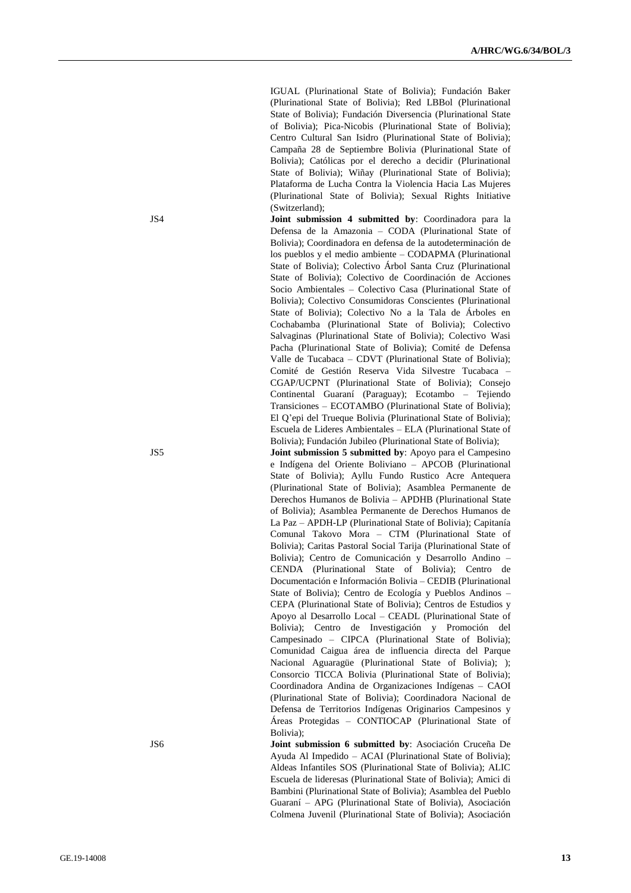IGUAL (Plurinational State of Bolivia); Fundación Baker (Plurinational State of Bolivia); Red LBBol (Plurinational State of Bolivia); Fundación Diversencia (Plurinational State of Bolivia); Pica-Nicobis (Plurinational State of Bolivia); Centro Cultural San Isidro (Plurinational State of Bolivia); Campaña 28 de Septiembre Bolivia (Plurinational State of Bolivia); Católicas por el derecho a decidir (Plurinational State of Bolivia); Wiñay (Plurinational State of Bolivia); Plataforma de Lucha Contra la Violencia Hacia Las Mujeres (Plurinational State of Bolivia); Sexual Rights Initiative (Switzerland);

JS4 **Joint submission 4 submitted by**: Coordinadora para la Defensa de la Amazonia – CODA (Plurinational State of Bolivia); Coordinadora en defensa de la autodeterminación de los pueblos y el medio ambiente – CODAPMA (Plurinational State of Bolivia); Colectivo Árbol Santa Cruz (Plurinational State of Bolivia); Colectivo de Coordinación de Acciones Socio Ambientales – Colectivo Casa (Plurinational State of Bolivia); Colectivo Consumidoras Conscientes (Plurinational State of Bolivia); Colectivo No a la Tala de Árboles en Cochabamba (Plurinational State of Bolivia); Colectivo Salvaginas (Plurinational State of Bolivia); Colectivo Wasi Pacha (Plurinational State of Bolivia); Comité de Defensa Valle de Tucabaca – CDVT (Plurinational State of Bolivia); Comité de Gestión Reserva Vida Silvestre Tucabaca – CGAP/UCPNT (Plurinational State of Bolivia); Consejo Continental Guaraní (Paraguay); Ecotambo – Tejiendo Transiciones – ECOTAMBO (Plurinational State of Bolivia); El Q'epi del Trueque Bolivia (Plurinational State of Bolivia); Escuela de Lideres Ambientales – ELA (Plurinational State of Bolivia); Fundación Jubileo (Plurinational State of Bolivia);

JS5 **Joint submission 5 submitted by**: Apoyo para el Campesino e Indígena del Oriente Boliviano – APCOB (Plurinational State of Bolivia); Ayllu Fundo Rustico Acre Antequera (Plurinational State of Bolivia); Asamblea Permanente de Derechos Humanos de Bolivia – APDHB (Plurinational State of Bolivia); Asamblea Permanente de Derechos Humanos de La Paz – APDH-LP (Plurinational State of Bolivia); Capitanía Comunal Takovo Mora – CTM (Plurinational State of Bolivia); Caritas Pastoral Social Tarija (Plurinational State of Bolivia); Centro de Comunicación y Desarrollo Andino – CENDA (Plurinational State of Bolivia); Centro de Documentación e Información Bolivia – CEDIB (Plurinational State of Bolivia); Centro de Ecología y Pueblos Andinos – CEPA (Plurinational State of Bolivia); Centros de Estudios y Apoyo al Desarrollo Local – CEADL (Plurinational State of Bolivia); Centro de Investigación y Promoción del Campesinado – CIPCA (Plurinational State of Bolivia); Comunidad Caigua área de influencia directa del Parque Nacional Aguaragüe (Plurinational State of Bolivia); ); Consorcio TICCA Bolivia (Plurinational State of Bolivia); Coordinadora Andina de Organizaciones Indígenas – CAOI (Plurinational State of Bolivia); Coordinadora Nacional de Defensa de Territorios Indígenas Originarios Campesinos y Áreas Protegidas – CONTIOCAP (Plurinational State of Bolivia);

JS6 **Joint submission 6 submitted by**: Asociación Cruceña De Ayuda Al Impedido – ACAI (Plurinational State of Bolivia); Aldeas Infantiles SOS (Plurinational State of Bolivia); ALIC Escuela de lideresas (Plurinational State of Bolivia); Amici di Bambini (Plurinational State of Bolivia); Asamblea del Pueblo Guaraní – APG (Plurinational State of Bolivia), Asociación Colmena Juvenil (Plurinational State of Bolivia); Asociación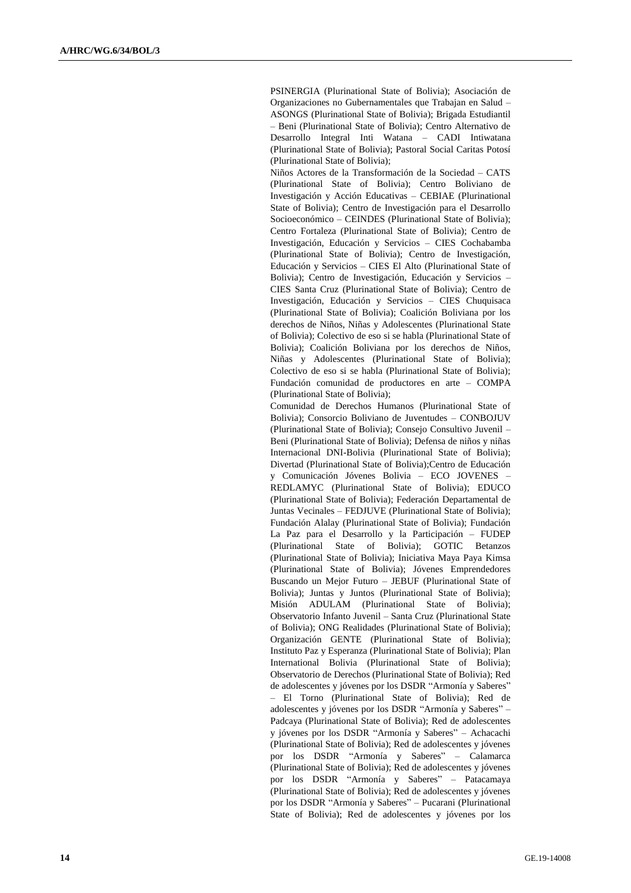PSINERGIA (Plurinational State of Bolivia); Asociación de Organizaciones no Gubernamentales que Trabajan en Salud – ASONGS (Plurinational State of Bolivia); Brigada Estudiantil – Beni (Plurinational State of Bolivia); Centro Alternativo de Desarrollo Integral Inti Watana – CADI Intiwatana (Plurinational State of Bolivia); Pastoral Social Caritas Potosí (Plurinational State of Bolivia);

Niños Actores de la Transformación de la Sociedad – CATS (Plurinational State of Bolivia); Centro Boliviano de Investigación y Acción Educativas – CEBIAE (Plurinational State of Bolivia); Centro de Investigación para el Desarrollo Socioeconómico – CEINDES (Plurinational State of Bolivia); Centro Fortaleza (Plurinational State of Bolivia); Centro de Investigación, Educación y Servicios – CIES Cochabamba (Plurinational State of Bolivia); Centro de Investigación, Educación y Servicios – CIES El Alto (Plurinational State of Bolivia); Centro de Investigación, Educación y Servicios – CIES Santa Cruz (Plurinational State of Bolivia); Centro de Investigación, Educación y Servicios – CIES Chuquisaca (Plurinational State of Bolivia); Coalición Boliviana por los derechos de Niños, Niñas y Adolescentes (Plurinational State of Bolivia); Colectivo de eso si se habla (Plurinational State of Bolivia); Coalición Boliviana por los derechos de Niños, Niñas y Adolescentes (Plurinational State of Bolivia); Colectivo de eso si se habla (Plurinational State of Bolivia); Fundación comunidad de productores en arte – COMPA (Plurinational State of Bolivia);

Comunidad de Derechos Humanos (Plurinational State of Bolivia); Consorcio Boliviano de Juventudes – CONBOJUV (Plurinational State of Bolivia); Consejo Consultivo Juvenil – Beni (Plurinational State of Bolivia); Defensa de niños y niñas Internacional DNI-Bolivia (Plurinational State of Bolivia); Divertad (Plurinational State of Bolivia);Centro de Educación y Comunicación Jóvenes Bolivia – ECO JOVENES – REDLAMYC (Plurinational State of Bolivia); EDUCO (Plurinational State of Bolivia); Federación Departamental de Juntas Vecinales – FEDJUVE (Plurinational State of Bolivia); Fundación Alalay (Plurinational State of Bolivia); Fundación La Paz para el Desarrollo y la Participación – FUDEP (Plurinational State of Bolivia); GOTIC Betanzos (Plurinational State of Bolivia); Iniciativa Maya Paya Kimsa (Plurinational State of Bolivia); Jóvenes Emprendedores Buscando un Mejor Futuro – JEBUF (Plurinational State of Bolivia); Juntas y Juntos (Plurinational State of Bolivia); Misión ADULAM (Plurinational State of Bolivia); Observatorio Infanto Juvenil – Santa Cruz (Plurinational State of Bolivia); ONG Realidades (Plurinational State of Bolivia); Organización GENTE (Plurinational State of Bolivia); Instituto Paz y Esperanza (Plurinational State of Bolivia); Plan International Bolivia (Plurinational State of Bolivia); Observatorio de Derechos (Plurinational State of Bolivia); Red de adolescentes y jóvenes por los DSDR "Armonía y Saberes" – El Torno (Plurinational State of Bolivia); Red de adolescentes y jóvenes por los DSDR "Armonía y Saberes" – Padcaya (Plurinational State of Bolivia); Red de adolescentes y jóvenes por los DSDR "Armonía y Saberes" – Achacachi (Plurinational State of Bolivia); Red de adolescentes y jóvenes por los DSDR "Armonía y Saberes" – Calamarca (Plurinational State of Bolivia); Red de adolescentes y jóvenes por los DSDR "Armonía y Saberes" – Patacamaya (Plurinational State of Bolivia); Red de adolescentes y jóvenes por los DSDR "Armonía y Saberes" – Pucarani (Plurinational State of Bolivia); Red de adolescentes y jóvenes por los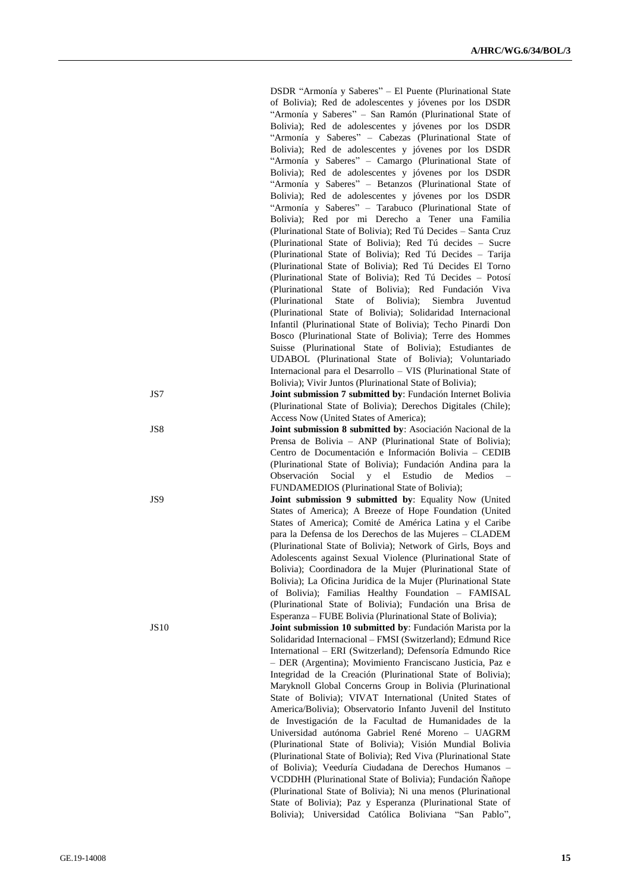|       | DSDR "Armonía y Saberes" - El Puente (Plurinational State                                                           |
|-------|---------------------------------------------------------------------------------------------------------------------|
|       | of Bolivia); Red de adolescentes y jóvenes por los DSDR                                                             |
|       | "Armonía y Saberes" - San Ramón (Plurinational State of                                                             |
|       |                                                                                                                     |
|       | Bolivia); Red de adolescentes y jóvenes por los DSDR                                                                |
|       | "Armonía y Saberes" - Cabezas (Plurinational State of                                                               |
|       | Bolivia); Red de adolescentes y jóvenes por los DSDR                                                                |
|       | "Armonía y Saberes" - Camargo (Plurinational State of                                                               |
|       | Bolivia); Red de adolescentes y jóvenes por los DSDR                                                                |
|       | "Armonía y Saberes" - Betanzos (Plurinational State of                                                              |
|       | Bolivia); Red de adolescentes y jóvenes por los DSDR                                                                |
|       |                                                                                                                     |
|       | "Armonía y Saberes" - Tarabuco (Plurinational State of                                                              |
|       | Bolivia); Red por mi Derecho a Tener una Familia                                                                    |
|       | (Plurinational State of Bolivia); Red Tú Decides - Santa Cruz                                                       |
|       | (Plurinational State of Bolivia); Red Tú decides - Sucre                                                            |
|       | (Plurinational State of Bolivia); Red Tú Decides - Tarija                                                           |
|       | (Plurinational State of Bolivia); Red Tú Decides El Torno                                                           |
|       | (Plurinational State of Bolivia); Red Tú Decides - Potosí                                                           |
|       | (Plurinational State of Bolivia); Red Fundación Viva                                                                |
|       |                                                                                                                     |
|       | of Bolivia);<br><b>State</b><br>Siembra<br>(Plurinational<br>Juventud                                               |
|       | (Plurinational State of Bolivia); Solidaridad Internacional                                                         |
|       | Infantil (Plurinational State of Bolivia); Techo Pinardi Don                                                        |
|       | Bosco (Plurinational State of Bolivia); Terre des Hommes                                                            |
|       | Suisse (Plurinational State of Bolivia); Estudiantes de                                                             |
|       | UDABOL (Plurinational State of Bolivia); Voluntariado                                                               |
|       | Internacional para el Desarrollo - VIS (Plurinational State of                                                      |
|       | Bolivia); Vivir Juntos (Plurinational State of Bolivia);                                                            |
|       |                                                                                                                     |
| JS7   | Joint submission 7 submitted by: Fundación Internet Bolivia                                                         |
|       | (Plurinational State of Bolivia); Derechos Digitales (Chile);                                                       |
|       | Access Now (United States of America);                                                                              |
| JS8   | Joint submission 8 submitted by: Asociación Nacional de la                                                          |
|       | Prensa de Bolivia - ANP (Plurinational State of Bolivia);                                                           |
|       |                                                                                                                     |
|       |                                                                                                                     |
|       | Centro de Documentación e Información Bolivia – CEDIB                                                               |
|       | (Plurinational State of Bolivia); Fundación Andina para la                                                          |
|       | Social y<br>el Estudio<br>de<br>Medios<br>Observación                                                               |
|       | FUNDAMEDIOS (Plurinational State of Bolivia);                                                                       |
| JS9   | Joint submission 9 submitted by: Equality Now (United                                                               |
|       | States of America); A Breeze of Hope Foundation (United                                                             |
|       | States of America); Comité de América Latina y el Caribe                                                            |
|       | para la Defensa de los Derechos de las Mujeres - CLADEM                                                             |
|       |                                                                                                                     |
|       | (Plurinational State of Bolivia); Network of Girls, Boys and                                                        |
|       | Adolescents against Sexual Violence (Plurinational State of                                                         |
|       | Bolivia); Coordinadora de la Mujer (Plurinational State of                                                          |
|       | Bolivia); La Oficina Juridica de la Mujer (Plurinational State                                                      |
|       | of Bolivia); Familias Healthy Foundation - FAMISAL                                                                  |
|       | (Plurinational State of Bolivia); Fundación una Brisa de                                                            |
|       | Esperanza - FUBE Bolivia (Plurinational State of Bolivia);                                                          |
| JS 10 | Joint submission 10 submitted by: Fundación Marista por la                                                          |
|       |                                                                                                                     |
|       | Solidaridad Internacional - FMSI (Switzerland); Edmund Rice                                                         |
|       | International - ERI (Switzerland); Defensoría Edmundo Rice                                                          |
|       | - DER (Argentina); Movimiento Franciscano Justicia, Paz e                                                           |
|       | Integridad de la Creación (Plurinational State of Bolivia);                                                         |
|       | Maryknoll Global Concerns Group in Bolivia (Plurinational                                                           |
|       | State of Bolivia); VIVAT International (United States of                                                            |
|       | America/Bolivia); Observatorio Infanto Juvenil del Instituto                                                        |
|       | de Investigación de la Facultad de Humanidades de la                                                                |
|       | Universidad autónoma Gabriel René Moreno - UAGRM                                                                    |
|       |                                                                                                                     |
|       | (Plurinational State of Bolivia); Visión Mundial Bolivia                                                            |
|       | (Plurinational State of Bolivia); Red Viva (Plurinational State                                                     |
|       | of Bolivia); Veeduría Ciudadana de Derechos Humanos -                                                               |
|       | VCDDHH (Plurinational State of Bolivia); Fundación Ñañope                                                           |
|       | (Plurinational State of Bolivia); Ni una menos (Plurinational                                                       |
|       | State of Bolivia); Paz y Esperanza (Plurinational State of<br>Bolivia); Universidad Católica Boliviana "San Pablo", |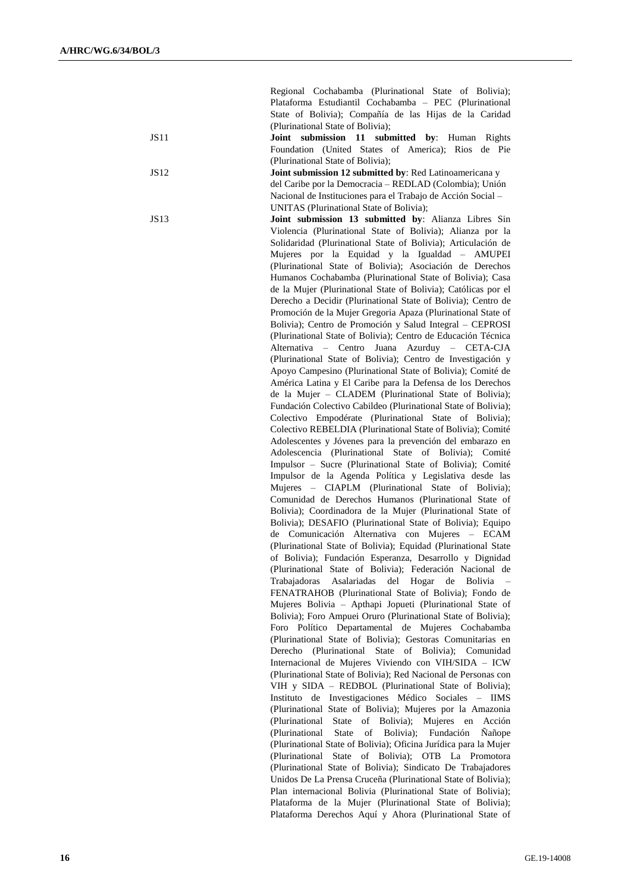Regional Cochabamba (Plurinational State of Bolivia); Plataforma Estudiantil Cochabamba – PEC (Plurinational State of Bolivia); Compañía de las Hijas de la Caridad (Plurinational State of Bolivia); JS11 **Joint submission 11 submitted by**: Human Rights Foundation (United States of America); Rios de Pie (Plurinational State of Bolivia); JS12 **Joint submission 12 submitted by**: Red Latinoamericana y del Caribe por la Democracia – REDLAD (Colombia); Unión Nacional de Instituciones para el Trabajo de Acción Social – UNITAS (Plurinational State of Bolivia); JS13 **Joint submission 13 submitted by**: Alianza Libres Sin Violencia (Plurinational State of Bolivia); Alianza por la Solidaridad (Plurinational State of Bolivia); Articulación de Mujeres por la Equidad y la Igualdad – AMUPEI (Plurinational State of Bolivia); Asociación de Derechos Humanos Cochabamba (Plurinational State of Bolivia); Casa de la Mujer (Plurinational State of Bolivia); Católicas por el Derecho a Decidir (Plurinational State of Bolivia); Centro de Promoción de la Mujer Gregoria Apaza (Plurinational State of Bolivia); Centro de Promoción y Salud Integral – CEPROSI (Plurinational State of Bolivia); Centro de Educación Técnica Alternativa – Centro Juana Azurduy – CETA-CJA (Plurinational State of Bolivia); Centro de Investigación y Apoyo Campesino (Plurinational State of Bolivia); Comité de América Latina y El Caribe para la Defensa de los Derechos de la Mujer – CLADEM (Plurinational State of Bolivia); Fundación Colectivo Cabildeo (Plurinational State of Bolivia); Colectivo Empodérate (Plurinational State of Bolivia); Colectivo REBELDIA (Plurinational State of Bolivia); Comité Adolescentes y Jóvenes para la prevención del embarazo en Adolescencia (Plurinational State of Bolivia); Comité Impulsor – Sucre (Plurinational State of Bolivia); Comité Impulsor de la Agenda Política y Legislativa desde las Mujeres – CIAPLM (Plurinational State of Bolivia); Comunidad de Derechos Humanos (Plurinational State of Bolivia); Coordinadora de la Mujer (Plurinational State of Bolivia); DESAFIO (Plurinational State of Bolivia); Equipo de Comunicación Alternativa con Mujeres – ECAM (Plurinational State of Bolivia); Equidad (Plurinational State of Bolivia); Fundación Esperanza, Desarrollo y Dignidad (Plurinational State of Bolivia); Federación Nacional de Trabajadoras Asalariadas del Hogar de Bolivia – FENATRAHOB (Plurinational State of Bolivia); Fondo de Mujeres Bolivia – Apthapi Jopueti (Plurinational State of Bolivia); Foro Ampuei Oruro (Plurinational State of Bolivia); Foro Político Departamental de Mujeres Cochabamba (Plurinational State of Bolivia); Gestoras Comunitarias en Derecho (Plurinational State of Bolivia); Comunidad Internacional de Mujeres Viviendo con VIH/SIDA – ICW (Plurinational State of Bolivia); Red Nacional de Personas con VIH y SIDA – REDBOL (Plurinational State of Bolivia); Instituto de Investigaciones Médico Sociales – IIMS (Plurinational State of Bolivia); Mujeres por la Amazonia (Plurinational State of Bolivia); Mujeres en Acción (Plurinational State of Bolivia); Fundación Ñañope (Plurinational State of Bolivia); Oficina Jurídica para la Mujer (Plurinational State of Bolivia); OTB La Promotora (Plurinational State of Bolivia); Sindicato De Trabajadores Unidos De La Prensa Cruceña (Plurinational State of Bolivia); Plan internacional Bolivia (Plurinational State of Bolivia); Plataforma de la Mujer (Plurinational State of Bolivia); Plataforma Derechos Aquí y Ahora (Plurinational State of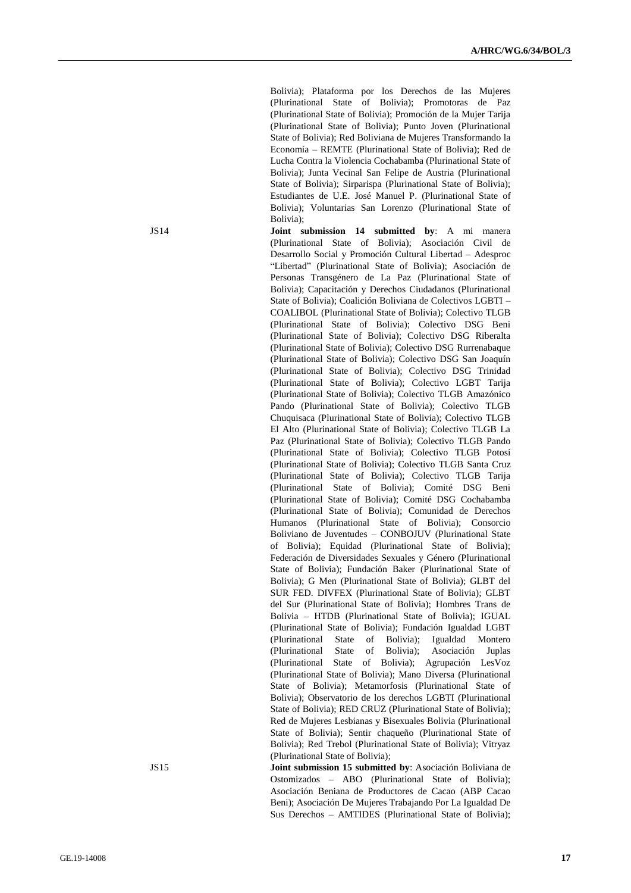Bolivia); Plataforma por los Derechos de las Mujeres (Plurinational State of Bolivia); Promotoras de Paz (Plurinational State of Bolivia); Promoción de la Mujer Tarija (Plurinational State of Bolivia); Punto Joven (Plurinational State of Bolivia); Red Boliviana de Mujeres Transformando la Economía – REMTE (Plurinational State of Bolivia); Red de Lucha Contra la Violencia Cochabamba (Plurinational State of Bolivia); Junta Vecinal San Felipe de Austria (Plurinational State of Bolivia); Sirparispa (Plurinational State of Bolivia); Estudiantes de U.E. José Manuel P. (Plurinational State of Bolivia); Voluntarias San Lorenzo (Plurinational State of Bolivia);

JS14 **Joint submission 14 submitted by**: A mi manera (Plurinational State of Bolivia); Asociación Civil de Desarrollo Social y Promoción Cultural Libertad – Adesproc "Libertad" (Plurinational State of Bolivia); Asociación de Personas Transgénero de La Paz (Plurinational State of Bolivia); Capacitación y Derechos Ciudadanos (Plurinational State of Bolivia); Coalición Boliviana de Colectivos LGBTI – COALIBOL (Plurinational State of Bolivia); Colectivo TLGB (Plurinational State of Bolivia); Colectivo DSG Beni (Plurinational State of Bolivia); Colectivo DSG Riberalta (Plurinational State of Bolivia); Colectivo DSG Rurrenabaque (Plurinational State of Bolivia); Colectivo DSG San Joaquín (Plurinational State of Bolivia); Colectivo DSG Trinidad (Plurinational State of Bolivia); Colectivo LGBT Tarija (Plurinational State of Bolivia); Colectivo TLGB Amazónico Pando (Plurinational State of Bolivia); Colectivo TLGB Chuquisaca (Plurinational State of Bolivia); Colectivo TLGB El Alto (Plurinational State of Bolivia); Colectivo TLGB La Paz (Plurinational State of Bolivia); Colectivo TLGB Pando (Plurinational State of Bolivia); Colectivo TLGB Potosí (Plurinational State of Bolivia); Colectivo TLGB Santa Cruz (Plurinational State of Bolivia); Colectivo TLGB Tarija (Plurinational State of Bolivia); Comité DSG Beni (Plurinational State of Bolivia); Comité DSG Cochabamba (Plurinational State of Bolivia); Comunidad de Derechos Humanos (Plurinational State of Bolivia); Consorcio Boliviano de Juventudes – CONBOJUV (Plurinational State of Bolivia); Equidad (Plurinational State of Bolivia); Federación de Diversidades Sexuales y Género (Plurinational State of Bolivia); Fundación Baker (Plurinational State of Bolivia); G Men (Plurinational State of Bolivia); GLBT del SUR FED. DIVFEX (Plurinational State of Bolivia); GLBT del Sur (Plurinational State of Bolivia); Hombres Trans de Bolivia – HTDB (Plurinational State of Bolivia); IGUAL (Plurinational State of Bolivia); Fundación Igualdad LGBT (Plurinational State of Bolivia); Igualdad Montero (Plurinational State of Bolivia); Asociación Juplas (Plurinational State of Bolivia); Agrupación LesVoz (Plurinational State of Bolivia); Mano Diversa (Plurinational State of Bolivia); Metamorfosis (Plurinational State of Bolivia); Observatorio de los derechos LGBTI (Plurinational State of Bolivia); RED CRUZ (Plurinational State of Bolivia); Red de Mujeres Lesbianas y Bisexuales Bolivia (Plurinational State of Bolivia); Sentir chaqueño (Plurinational State of Bolivia); Red Trebol (Plurinational State of Bolivia); Vitryaz (Plurinational State of Bolivia);

JS15 **Joint submission 15 submitted by**: Asociación Boliviana de Ostomizados – ABO (Plurinational State of Bolivia); Asociación Beniana de Productores de Cacao (ABP Cacao Beni); Asociación De Mujeres Trabajando Por La Igualdad De Sus Derechos – AMTIDES (Plurinational State of Bolivia);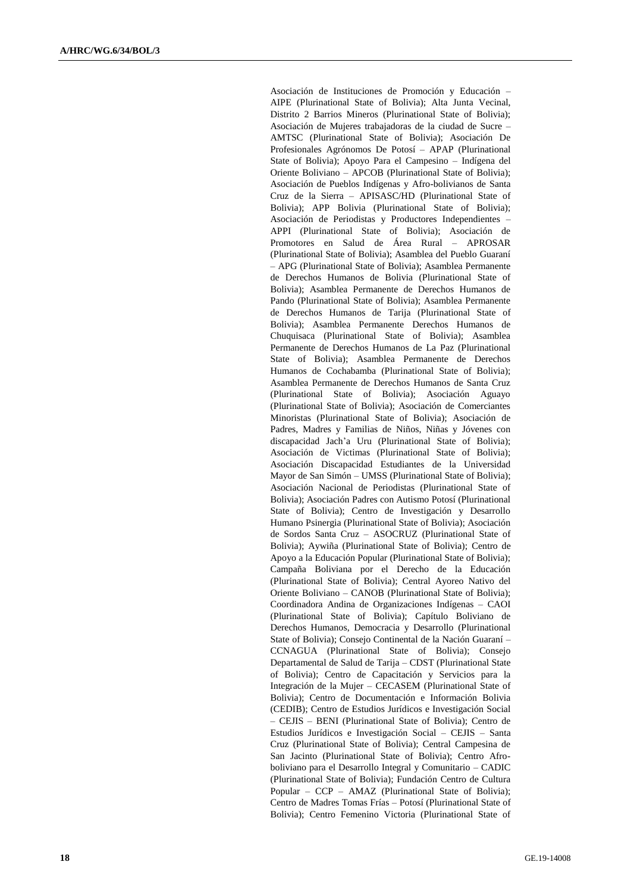Asociación de Instituciones de Promoción y Educación – AIPE (Plurinational State of Bolivia); Alta Junta Vecinal, Distrito 2 Barrios Mineros (Plurinational State of Bolivia); Asociación de Mujeres trabajadoras de la ciudad de Sucre – AMTSC (Plurinational State of Bolivia); Asociación De Profesionales Agrónomos De Potosí – APAP (Plurinational State of Bolivia); Apoyo Para el Campesino – Indígena del Oriente Boliviano – APCOB (Plurinational State of Bolivia); Asociación de Pueblos Indígenas y Afro-bolivianos de Santa Cruz de la Sierra – APISASC/HD (Plurinational State of Bolivia); APP Bolivia (Plurinational State of Bolivia); Asociación de Periodistas y Productores Independientes – APPI (Plurinational State of Bolivia); Asociación de Promotores en Salud de Área Rural – APROSAR (Plurinational State of Bolivia); Asamblea del Pueblo Guaraní – APG (Plurinational State of Bolivia); Asamblea Permanente de Derechos Humanos de Bolivia (Plurinational State of Bolivia); Asamblea Permanente de Derechos Humanos de Pando (Plurinational State of Bolivia); Asamblea Permanente de Derechos Humanos de Tarija (Plurinational State of Bolivia); Asamblea Permanente Derechos Humanos de Chuquisaca (Plurinational State of Bolivia); Asamblea Permanente de Derechos Humanos de La Paz (Plurinational State of Bolivia); Asamblea Permanente de Derechos Humanos de Cochabamba (Plurinational State of Bolivia); Asamblea Permanente de Derechos Humanos de Santa Cruz (Plurinational State of Bolivia); Asociación Aguayo (Plurinational State of Bolivia); Asociación de Comerciantes Minoristas (Plurinational State of Bolivia); Asociación de Padres, Madres y Familias de Niños, Niñas y Jóvenes con discapacidad Jach'a Uru (Plurinational State of Bolivia); Asociación de Victimas (Plurinational State of Bolivia); Asociación Discapacidad Estudiantes de la Universidad Mayor de San Simón – UMSS (Plurinational State of Bolivia); Asociación Nacional de Periodistas (Plurinational State of Bolivia); Asociación Padres con Autismo Potosí (Plurinational State of Bolivia); Centro de Investigación y Desarrollo Humano Psinergia (Plurinational State of Bolivia); Asociación de Sordos Santa Cruz – ASOCRUZ (Plurinational State of Bolivia); Aywiña (Plurinational State of Bolivia); Centro de Apoyo a la Educación Popular (Plurinational State of Bolivia); Campaña Boliviana por el Derecho de la Educación (Plurinational State of Bolivia); Central Ayoreo Nativo del Oriente Boliviano – CANOB (Plurinational State of Bolivia); Coordinadora Andina de Organizaciones Indígenas – CAOI (Plurinational State of Bolivia); Capítulo Boliviano de Derechos Humanos, Democracia y Desarrollo (Plurinational State of Bolivia); Consejo Continental de la Nación Guaraní – CCNAGUA (Plurinational State of Bolivia); Consejo Departamental de Salud de Tarija – CDST (Plurinational State of Bolivia); Centro de Capacitación y Servicios para la Integración de la Mujer – CECASEM (Plurinational State of Bolivia); Centro de Documentación e Información Bolivia (CEDIB); Centro de Estudios Jurídicos e Investigación Social – CEJIS – BENI (Plurinational State of Bolivia); Centro de Estudios Jurídicos e Investigación Social – CEJIS – Santa Cruz (Plurinational State of Bolivia); Central Campesina de San Jacinto (Plurinational State of Bolivia); Centro Afroboliviano para el Desarrollo Integral y Comunitario – CADIC (Plurinational State of Bolivia); Fundación Centro de Cultura Popular – CCP – AMAZ (Plurinational State of Bolivia); Centro de Madres Tomas Frías – Potosí (Plurinational State of Bolivia); Centro Femenino Victoria (Plurinational State of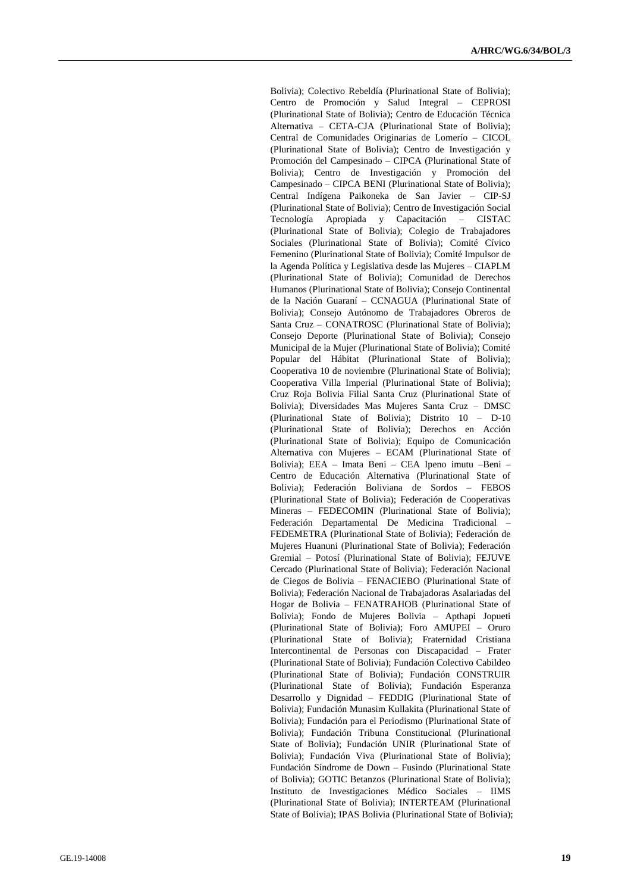Bolivia); Colectivo Rebeldía (Plurinational State of Bolivia); Centro de Promoción y Salud Integral – CEPROSI (Plurinational State of Bolivia); Centro de Educación Técnica Alternativa – CETA -CJA (Plurinational State of Bolivia); Central de Comunidades Originarias de Lomerío – CICOL (Plurinational State of Bolivia); Centro de Investigación y Promoción del Campesinado – CIPCA (Plurinational State of Bolivia); Centro de Investigación y Promoción del Campesinado – CIPCA BENI (Plurinational State of Bolivia); Central Indígena Paikoneka de San Javier – CIP -SJ (Plurinational State of Bolivia); Centro de Investigación Social Tecnología Apropiada y Capacitación – CISTAC (Plurinational State of Bolivia); Colegio de Trabajadores Sociales (Plurinational State of Bolivia); Comité Cívico Femenino (Plurinational State of Bolivia); Comité Impulsor de la Agenda Política y Legislativa desde las Mujeres – CIAPLM (Plurinational State of Bolivia); Comunidad de Derechos Humanos (Plurinational State of Bolivia); Consejo Continental de la Nación Guaraní – CCNAGUA (Plurinational State of Bolivia); Consejo Autónomo de Trabajadores Obreros de Santa Cruz – CONATROSC (Plurinational State of Bolivia); Consejo Deporte (Plurinational State of Bolivia); Consejo Municipal de la Mujer (Plurinational State of Bolivia); Comité Popular del Hábitat (Plurinational State of Bolivia); Cooperativa 10 de noviembre (Plurinational State of Bolivia); Cooperativa Villa Imperial (Plurinational State of Bolivia); Cruz Roja Bolivia Filial Santa Cruz (Plurinational State of Bolivia); Diversidades Mas Mujeres Santa Cruz – DMSC (Plurinational State of Bolivia); Distrito 10 - D-10 (Plurinational State of Bolivia); Derechos en Acción (Plurinational State of Bolivia); Equipo de Comunicación Alternativa con Mujeres – ECAM (Plurinational State of Bolivia); EEA – Imata Beni – CEA Ipeno imutu –Beni – Centro de Educación Alternativa (Plurinational State of Bolivia); Federación Boliviana de Sordos – FEBOS (Plurinational State of Bolivia); Federación de Cooperativas Mineras – FEDECOMIN (Plurinational State of Bolivia); Federación Departamental De Medicina Tradicional – FEDEMETRA (Plurinational State of Bolivia); Federación de Mujeres Huanuni (Plurinational State of Bolivia); Federación Gremial – Potosí (Plurinational State of Bolivia); FEJUVE Cercado (Plurinational State of Bolivia); Federación Nacional de Ciegos de Bolivia – FENACIEBO (Plurinational State of Bolivia); Federación Nacional de Trabajadoras Asalariadas del Hogar de Bolivia – FENATRAHOB (Plurinational State of Bolivia); Fondo de Mujeres Bolivia – Apthapi Jopueti (Plurinational State of Bolivia); Foro AMUPEI – Oruro (Plurinational State of Bolivia); Fraternidad Cristiana Intercontinental de Personas con Discapacidad – Frater (Plurinational State of Bolivia); Fundación Colectivo Cabildeo (Plurinational State of Bolivia); Fundación CONSTRUIR (Plurinational State of Bolivia); Fundación Esperanza Desarrollo y Dignidad – FEDDIG (Plurinational State of Bolivia); Fundación Munasim Kullakita (Plurinational State of Bolivia); Fundación para el Periodismo (Plurinational State of Bolivia); Fundación Tribuna Constitucional (Plurinational State of Bolivia); Fundación UNIR (Plurinational State of Bolivia); Fundación Viva (Plurinational State of Bolivia); Fundación Síndrome de Down – Fusindo (Plurinational State of Bolivia); GOTIC Betanzos (Plurinational State of Bolivia); Instituto de Investigaciones Médico Sociales – IIMS (Plurinational State of Bolivia); INTERTEAM (Plurinational State of Bolivia); IPAS Bolivia (Plurinational State of Bolivia);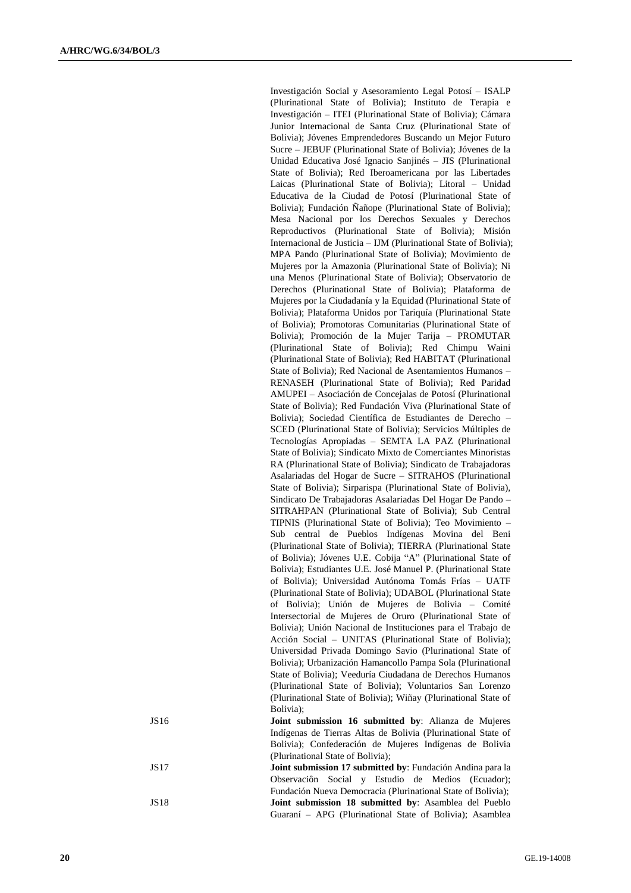|       | Investigación Social y Asesoramiento Legal Potosí - ISALP                                                                     |
|-------|-------------------------------------------------------------------------------------------------------------------------------|
|       | (Plurinational State of Bolivia); Instituto de Terapia e                                                                      |
|       | Investigación - ITEI (Plurinational State of Bolivia); Cámara                                                                 |
|       | Junior Internacional de Santa Cruz (Plurinational State of                                                                    |
|       | Bolivia); Jóvenes Emprendedores Buscando un Mejor Futuro                                                                      |
|       | Sucre – JEBUF (Plurinational State of Bolivia); Jóvenes de la                                                                 |
|       | Unidad Educativa José Ignacio Sanjinés - JIS (Plurinational                                                                   |
|       | State of Bolivia); Red Iberoamericana por las Libertades                                                                      |
|       | Laicas (Plurinational State of Bolivia); Litoral - Unidad                                                                     |
|       | Educativa de la Ciudad de Potosí (Plurinational State of                                                                      |
|       | Bolivia); Fundación Ñañope (Plurinational State of Bolivia);                                                                  |
|       | Mesa Nacional por los Derechos Sexuales y Derechos                                                                            |
|       | Reproductivos (Plurinational State of Bolivia); Misión                                                                        |
|       | Internacional de Justicia - IJM (Plurinational State of Bolivia);                                                             |
|       | MPA Pando (Plurinational State of Bolivia); Movimiento de                                                                     |
|       | Mujeres por la Amazonia (Plurinational State of Bolivia); Ni                                                                  |
|       | una Menos (Plurinational State of Bolivia); Observatorio de                                                                   |
|       | Derechos (Plurinational State of Bolivia); Plataforma de                                                                      |
|       | Mujeres por la Ciudadanía y la Equidad (Plurinational State of                                                                |
|       | Bolivia); Plataforma Unidos por Tariquía (Plurinational State                                                                 |
|       | of Bolivia); Promotoras Comunitarias (Plurinational State of                                                                  |
|       | Bolivia); Promoción de la Mujer Tarija - PROMUTAR                                                                             |
|       | (Plurinational State of Bolivia); Red Chimpu<br>Waini                                                                         |
|       | (Plurinational State of Bolivia); Red HABITAT (Plurinational                                                                  |
|       | State of Bolivia); Red Nacional de Asentamientos Humanos -                                                                    |
|       | RENASEH (Plurinational State of Bolivia); Red Paridad                                                                         |
|       | AMUPEI – Asociación de Concejalas de Potosí (Plurinational                                                                    |
|       | State of Bolivia); Red Fundación Viva (Plurinational State of                                                                 |
|       | Bolivia); Sociedad Científica de Estudiantes de Derecho -                                                                     |
|       | SCED (Plurinational State of Bolivia); Servicios Múltiples de                                                                 |
|       | Tecnologías Apropiadas - SEMTA LA PAZ (Plurinational                                                                          |
|       | State of Bolivia); Sindicato Mixto de Comerciantes Minoristas                                                                 |
|       | RA (Plurinational State of Bolivia); Sindicato de Trabajadoras                                                                |
|       | Asalariadas del Hogar de Sucre - SITRAHOS (Plurinational                                                                      |
|       | State of Bolivia); Sirparispa (Plurinational State of Bolivia),                                                               |
|       | Sindicato De Trabajadoras Asalariadas Del Hogar De Pando -                                                                    |
|       | SITRAHPAN (Plurinational State of Bolivia); Sub Central                                                                       |
|       | TIPNIS (Plurinational State of Bolivia); Teo Movimiento -                                                                     |
|       | Sub<br>central<br>de Pueblos<br>Indígenas Movina del Beni                                                                     |
|       | (Plurinational State of Bolivia); TIERRA (Plurinational State<br>of Bolivia); Jóvenes U.E. Cobija "A" (Plurinational State of |
|       |                                                                                                                               |
|       | Bolivia); Estudiantes U.E. José Manuel P. (Plurinational State<br>of Bolivia); Universidad Autónoma Tomás Frías - UATF        |
|       | (Plurinational State of Bolivia); UDABOL (Plurinational State                                                                 |
|       | of Bolivia); Unión de Mujeres de Bolivia - Comité                                                                             |
|       | Intersectorial de Mujeres de Oruro (Plurinational State of                                                                    |
|       | Bolivia); Unión Nacional de Instituciones para el Trabajo de                                                                  |
|       | Acción Social - UNITAS (Plurinational State of Bolivia);                                                                      |
|       | Universidad Privada Domingo Savio (Plurinational State of                                                                     |
|       | Bolivia); Urbanización Hamancollo Pampa Sola (Plurinational                                                                   |
|       | State of Bolivia); Veeduría Ciudadana de Derechos Humanos                                                                     |
|       | (Plurinational State of Bolivia); Voluntarios San Lorenzo                                                                     |
|       | (Plurinational State of Bolivia); Wiñay (Plurinational State of                                                               |
|       | Bolivia);                                                                                                                     |
| JS16  | Joint submission 16 submitted by: Alianza de Mujeres                                                                          |
|       | Indígenas de Tierras Altas de Bolivia (Plurinational State of                                                                 |
|       | Bolivia); Confederación de Mujeres Indígenas de Bolivia                                                                       |
|       | (Plurinational State of Bolivia);                                                                                             |
| JS 17 | Joint submission 17 submitted by: Fundación Andina para la                                                                    |
|       | Observación Social y Estudio de Medios<br>(Ecuador);                                                                          |
|       | Fundación Nueva Democracia (Plurinational State of Bolivia);                                                                  |

Guaraní – APG (Plurinational State of Bolivia); Asamblea

JS18 **Joint submission 18 submitted by**: Asamblea del Pueblo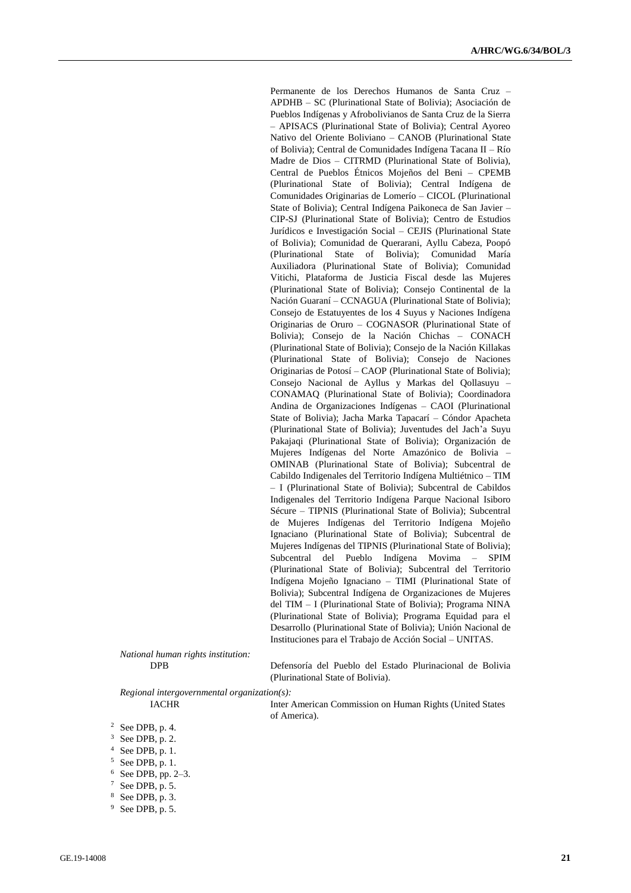Permanente de los Derechos Humanos de Santa Cruz – APDHB – SC (Plurinational State of Bolivia); Asociación de Pueblos Indígenas y Afrobolivianos de Santa Cruz de la Sierra – APISACS (Plurinational State of Bolivia); Central Ayoreo Nativo del Oriente Boliviano – CANOB (Plurinational State of Bolivia); Central de Comunidades Indígena Tacana II – Río Madre de Dios – CITRMD (Plurinational State of Bolivia), Central de Pueblos Étnicos Mojeños del Beni – CPEMB (Plurinational State of Bolivia); Central Indígena de Comunidades Originarias de Lomerío – CICOL (Plurinational State of Bolivia); Central Indígena Paikoneca de San Javier – CIP-SJ (Plurinational State of Bolivia); Centro de Estudios Jurídicos e Investigación Social – CEJIS (Plurinational State of Bolivia); Comunidad de Querarani, Ayllu Cabeza, Poopó (Plurinational State of Bolivia); Comunidad María Auxiliadora (Plurinational State of Bolivia); Comunidad Vitichi, Plataforma de Justicia Fiscal desde las Mujeres (Plurinational State of Bolivia); Consejo Continental de la Nación Guaraní – CCNAGUA (Plurinational State of Bolivia); Consejo de Estatuyentes de los 4 Suyus y Naciones Indígena Originarias de Oruro – COGNASOR (Plurinational State of Bolivia); Consejo de la Nación Chichas – CONACH (Plurinational State of Bolivia); Consejo de la Nación Killakas (Plurinational State of Bolivia); Consejo de Naciones Originarias de Potosí – CAOP (Plurinational State of Bolivia); Consejo Nacional de Ayllus y Markas del Qollasuyu – CONAMAQ (Plurinational State of Bolivia); Coordinadora Andina de Organizaciones Indígenas – CAOI (Plurinational State of Bolivia); Jacha Marka Tapacarí – Cóndor Apacheta (Plurinational State of Bolivia); Juventudes del Jach'a Suyu Pakajaqi (Plurinational State of Bolivia); Organización de Mujeres Indígenas del Norte Amazónico de Bolivia – OMINAB (Plurinational State of Bolivia); Subcentral de Cabildo Indigenales del Territorio Indígena Multiétnico – TIM – I (Plurinational State of Bolivia); Subcentral de Cabildos Indigenales del Territorio Indígena Parque Nacional Isiboro Sécure – TIPNIS (Plurinational State of Bolivia); Subcentral de Mujeres Indígenas del Territorio Indígena Mojeño Ignaciano (Plurinational State of Bolivia); Subcentral de Mujeres Indígenas del TIPNIS (Plurinational State of Bolivia); Subcentral del Pueblo Indígena Movima – SPIM (Plurinational State of Bolivia); Subcentral del Territorio Indígena Mojeño Ignaciano – TIMI (Plurinational State of Bolivia); Subcentral Indígena de Organizaciones de Mujeres del TIM – I (Plurinational State of Bolivia); Programa NINA (Plurinational State of Bolivia); Programa Equidad para el Desarrollo (Plurinational State of Bolivia); Unión Nacional de Instituciones para el Trabajo de Acción Social – UNITAS.

*National human rights institution:*

DPB Defensoría del Pueblo del Estado Plurinacional de Bolivia (Plurinational State of Bolivia).

*Regional intergovernmental organization(s):*

IACHR Inter American Commission on Human Rights (United States of America).

- $3$  See DPB, p. 2.
- $4$  See DPB, p. 1.
- $5$  See DPB, p. 1.
- <sup>6</sup> See DPB, pp. 2–3.
- <sup>7</sup> See DPB, p. 5.
- <sup>8</sup> See DPB, p. 3.
- <sup>9</sup> See DPB, p. 5.

 $2$  See DPB, p. 4.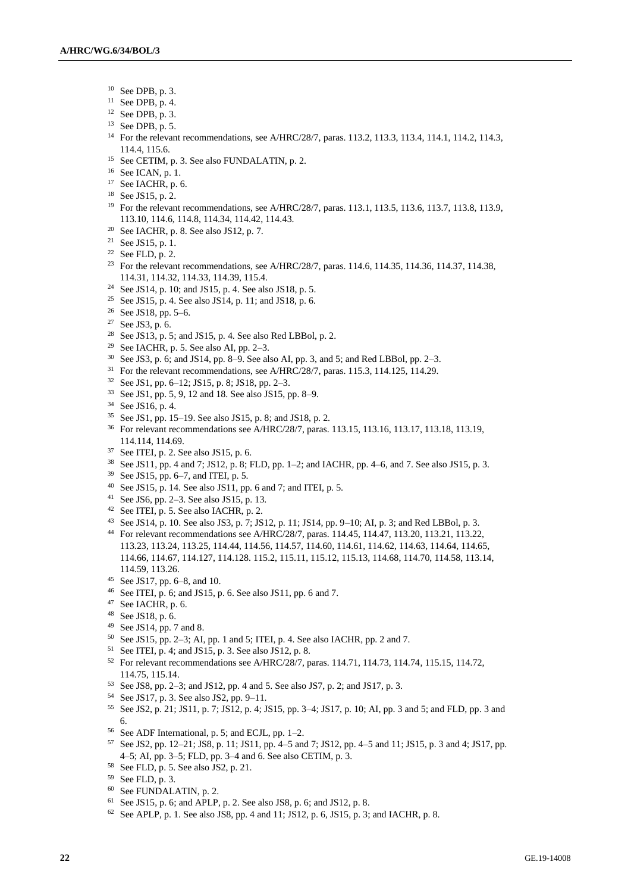- See DPB, p. 3.
- <sup>11</sup> See DPB, p. 4.
- See DPB, p. 3.
- See DPB, p. 5.
- For the relevant recommendations, see A/HRC/28/7, paras. 113.2, 113.3, 113.4, 114.1, 114.2, 114.3, 114.4, 115.6.
- <sup>15</sup> See CETIM, p. 3. See also FUNDALATIN, p. 2.
- See ICAN, p. 1.
- See IACHR, p. 6.
- See JS15, p. 2.
- <sup>19</sup> For the relevant recommendations, see A/HRC/28/7, paras. 113.1, 113.5, 113.6, 113.7, 113.8, 113.9, 113.10, 114.6, 114.8, 114.34, 114.42, 114.43.
- See IACHR, p. 8. See also JS12, p. 7.
- <sup>21</sup> See JS15, p. 1.
- <sup>22</sup> See FLD, p. 2.
- <sup>23</sup> For the relevant recommendations, see A/HRC/28/7, paras. 114.6, 114.35, 114.36, 114.37, 114.38, 114.31, 114.32, 114.33, 114.39, 115.4.
- <sup>24</sup> See JS14, p. 10; and JS15, p. 4. See also JS18, p. 5.
- <sup>25</sup> See JS15, p. 4. See also JS14, p. 11; and JS18, p. 6.
- See JS18, pp. 5–6.
- See JS3, p. 6.
- <sup>28</sup> See JS13, p. 5; and JS15, p. 4. See also Red LBBol, p. 2.
- <sup>29</sup> See IACHR, p. 5. See also AI, pp.  $2-3$ .
- See JS3, p. 6; and JS14, pp. 8–9. See also AI, pp. 3, and 5; and Red LBBol, pp. 2–3.
- <sup>31</sup> For the relevant recommendations, see A/HRC/28/7, paras. 115.3, 114.125, 114.29.
- See JS1, pp. 6–12; JS15, p. 8; JS18, pp. 2–3.
- See JS1, pp. 5, 9, 12 and 18. See also JS15, pp. 8–9.
- See JS16, p. 4.
- See JS1, pp. 15–19. See also JS15, p. 8; and JS18, p. 2.
- For relevant recommendations see A/HRC/28/7, paras. 113.15, 113.16, 113.17, 113.18, 113.19, 114.114, 114.69.
- See ITEI, p. 2. See also JS15, p. 6.
- See JS11, pp. 4 and 7; JS12, p. 8; FLD, pp. 1–2; and IACHR, pp. 4–6, and 7. See also JS15, p. 3.
- See JS15, pp. 6–7, and ITEI, p. 5.
- See JS15, p. 14. See also JS11, pp. 6 and 7; and ITEI, p. 5.
- See JS6, pp. 2–3. See also JS15, p. 13.
- See ITEI, p. 5. See also IACHR, p. 2.
- See JS14, p. 10. See also JS3, p. 7; JS12, p. 11; JS14, pp. 9–10; AI, p. 3; and Red LBBol, p. 3.
- For relevant recommendations see A/HRC/28/7, paras. 114.45, 114.47, 113.20, 113.21, 113.22, 113.23, 113.24, 113.25, 114.44, 114.56, 114.57, 114.60, 114.61, 114.62, 114.63, 114.64, 114.65, 114.66, 114.67, 114.127, 114.128. 115.2, 115.11, 115.12, 115.13, 114.68, 114.70, 114.58, 113.14, 114.59, 113.26.
- See JS17, pp. 6–8, and 10.
- <sup>46</sup> See ITEI, p. 6; and JS15, p. 6. See also JS11, pp. 6 and 7.
- See IACHR, p. 6.
- See JS18, p. 6.
- <sup>49</sup> See JS14, pp. 7 and 8.
- See JS15, pp. 2–3; AI, pp. 1 and 5; ITEI, p. 4. See also IACHR, pp. 2 and 7.
- See ITEI, p. 4; and JS15, p. 3. See also JS12, p. 8.
- For relevant recommendations see A/HRC/28/7, paras. 114.71, 114.73, 114.74, 115.15, 114.72, 114.75, 115.14.
- See JS8, pp. 2–3; and JS12, pp. 4 and 5. See also JS7, p. 2; and JS17, p. 3.
- See JS17, p. 3. See also JS2, pp. 9–11.
- See JS2, p. 21; JS11, p. 7; JS12, p. 4; JS15, pp. 3–4; JS17, p. 10; AI, pp. 3 and 5; and FLD, pp. 3 and 6.
- See ADF International, p. 5; and ECJL, pp. 1–2.
- See JS2, pp. 12–21; JS8, p. 11; JS11, pp. 4–5 and 7; JS12, pp. 4–5 and 11; JS15, p. 3 and 4; JS17, pp. 4–5; AI, pp. 3–5; FLD, pp. 3–4 and 6. See also CETIM, p. 3.
- See FLD, p. 5. See also JS2, p. 21.
- See FLD, p. 3.
- See FUNDALATIN, p. 2.
- See JS15, p. 6; and APLP, p. 2. See also JS8, p. 6; and JS12, p. 8.
- See APLP, p. 1. See also JS8, pp. 4 and 11; JS12, p. 6, JS15, p. 3; and IACHR, p. 8.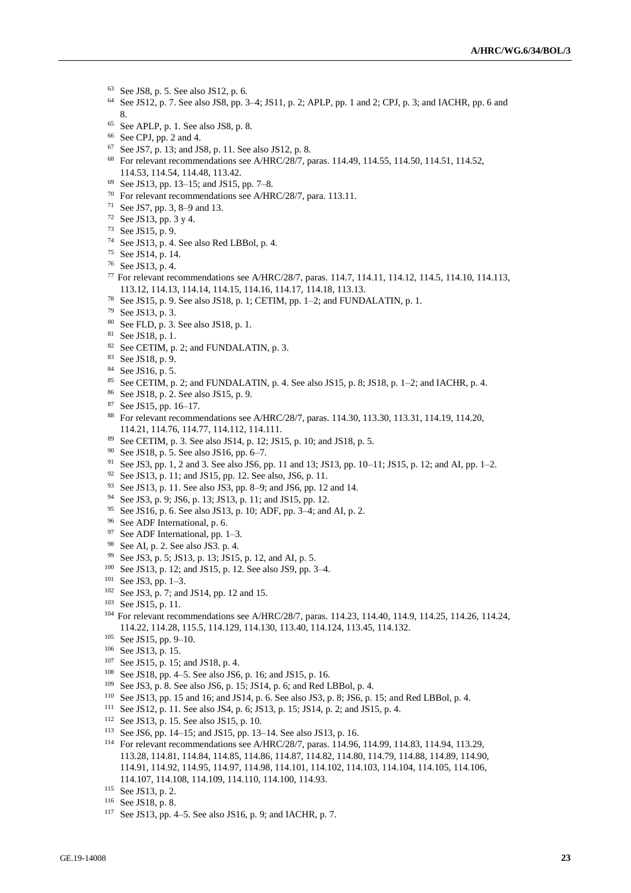- See JS8, p. 5. See also JS12, p. 6.
- See JS12, p. 7. See also JS8, pp. 3–4; JS11, p. 2; APLP, pp. 1 and 2; CPJ, p. 3; and IACHR, pp. 6 and 8.
- See APLP, p. 1. See also JS8, p. 8.
- See CPJ, pp. 2 and 4.
- See JS7, p. 13; and JS8, p. 11. See also JS12, p. 8.
- <sup>68</sup> For relevant recommendations see A/HRC/28/7, paras. 114.49, 114.55, 114.50, 114.51, 114.52, 114.53, 114.54, 114.48, 113.42.
- See JS13, pp. 13–15; and JS15, pp. 7–8.
- For relevant recommendations see A/HRC/28/7, para. 113.11.
- See JS7, pp. 3, 8–9 and 13.
- See JS13, pp. 3 y 4.
- See JS15, p. 9.
- See JS13, p. 4. See also Red LBBol, p. 4.
- See JS14, p. 14.
- See JS13, p. 4.
- For relevant recommendations see A/HRC/28/7, paras. 114.7, 114.11, 114.12, 114.5, 114.10, 114.113, 113.12, 114.13, 114.14, 114.15, 114.16, 114.17, 114.18, 113.13.
- See JS15, p. 9. See also JS18, p. 1; CETIM, pp. 1–2; and FUNDALATIN, p. 1.
- See JS13, p. 3.
- See FLD, p. 3. See also JS18, p. 1.
- See JS18, p. 1.
- See CETIM, p. 2; and FUNDALATIN, p. 3.
- See JS18, p. 9.
- See JS16, p. 5.
- See CETIM, p. 2; and FUNDALATIN, p. 4. See also JS15, p. 8; JS18, p. 1–2; and IACHR, p. 4.
- See JS18, p. 2. See also JS15, p. 9.
- See JS15, pp. 16–17.
- For relevant recommendations see A/HRC/28/7, paras. 114.30, 113.30, 113.31, 114.19, 114.20, 114.21, 114.76, 114.77, 114.112, 114.111.
- See CETIM, p. 3. See also JS14, p. 12; JS15, p. 10; and JS18, p. 5.
- <sup>90</sup> See JS18, p. 5. See also JS16, pp.  $6-7$ .
- See JS3, pp. 1, 2 and 3. See also JS6, pp. 11 and 13; JS13, pp. 10–11; JS15, p. 12; and AI, pp. 1–2.
- <sup>92</sup> See JS13, p. 11; and JS15, pp. 12. See also, JS6, p. 11.
- See JS13, p. 11. See also JS3, pp. 8–9; and JS6, pp. 12 and 14.
- See JS3, p. 9; JS6, p. 13; JS13, p. 11; and JS15, pp. 12.
- See JS16, p. 6. See also JS13, p. 10; ADF, pp. 3–4; and AI, p. 2.
- See ADF International, p. 6.
- See ADF International, pp. 1–3.
- See AI, p. 2. See also JS3. p. 4.
- See JS3, p. 5; JS13, p. 13; JS15, p. 12, and AI, p. 5.
- See JS13, p. 12; and JS15, p. 12. See also JS9, pp. 3–4.
- See JS3, pp. 1–3.
- See JS3, p. 7; and JS14, pp. 12 and 15.
- See JS15, p. 11.
- For relevant recommendations see A/HRC/28/7, paras. 114.23, 114.40, 114.9, 114.25, 114.26, 114.24, 114.22, 114.28, 115.5, 114.129, 114.130, 113.40, 114.124, 113.45, 114.132.
- See JS15, pp. 9–10.
- See JS13, p. 15.
- See JS15, p. 15; and JS18, p. 4.
- See JS18, pp. 4–5. See also JS6, p. 16; and JS15, p. 16.
- See JS3, p. 8. See also JS6, p. 15; JS14, p. 6; and Red LBBol, p. 4.
- See JS13, pp. 15 and 16; and JS14, p. 6. See also JS3, p. 8; JS6, p. 15; and Red LBBol, p. 4.
- See JS12, p. 11. See also JS4, p. 6; JS13, p. 15; JS14, p. 2; and JS15, p. 4.
- See JS13, p. 15. See also JS15, p. 10.
- See JS6, pp. 14–15; and JS15, pp. 13–14. See also JS13, p. 16.
- For relevant recommendations see A/HRC/28/7, paras. 114.96, 114.99, 114.83, 114.94, 113.29, 113.28, 114.81, 114.84, 114.85, 114.86, 114.87, 114.82, 114.80, 114.79, 114.88, 114.89, 114.90, 114.91, 114.92, 114.95, 114.97, 114.98, 114.101, 114.102, 114.103, 114.104, 114.105, 114.106, 114.107, 114.108, 114.109, 114.110, 114.100, 114.93.

- See JS18, p. 8.
- See JS13, pp. 4–5. See also JS16, p. 9; and IACHR, p. 7.

See JS13, p. 2.